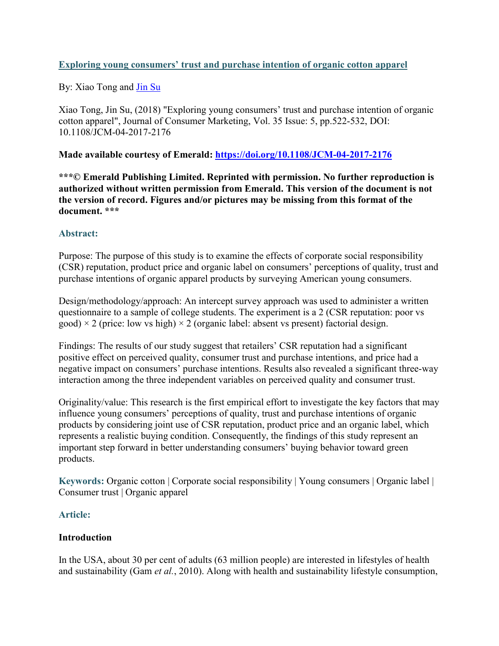## **Exploring young consumers' trust and purchase intention of organic cotton apparel**

## By: Xiao Tong and [Jin Su](http://libres.uncg.edu/ir/uncg/clist.aspx?id=13707)

Xiao Tong, Jin Su, (2018) "Exploring young consumers' trust and purchase intention of organic cotton apparel", Journal of Consumer Marketing, Vol. 35 Issue: 5, pp.522-532, DOI: 10.1108/JCM-04-2017-2176

## **Made available courtesy of Emerald: <https://doi.org/10.1108/JCM-04-2017-2176>**

**\*\*\*© Emerald Publishing Limited. Reprinted with permission. No further reproduction is authorized without written permission from Emerald. This version of the document is not the version of record. Figures and/or pictures may be missing from this format of the document. \*\*\***

### **Abstract:**

Purpose: The purpose of this study is to examine the effects of corporate social responsibility (CSR) reputation, product price and organic label on consumers' perceptions of quality, trust and purchase intentions of organic apparel products by surveying American young consumers.

Design/methodology/approach: An intercept survey approach was used to administer a written questionnaire to a sample of college students. The experiment is a 2 (CSR reputation: poor vs good)  $\times$  2 (price: low vs high)  $\times$  2 (organic label: absent vs present) factorial design.

Findings: The results of our study suggest that retailers' CSR reputation had a significant positive effect on perceived quality, consumer trust and purchase intentions, and price had a negative impact on consumers' purchase intentions. Results also revealed a significant three-way interaction among the three independent variables on perceived quality and consumer trust.

Originality/value: This research is the first empirical effort to investigate the key factors that may influence young consumers' perceptions of quality, trust and purchase intentions of organic products by considering joint use of CSR reputation, product price and an organic label, which represents a realistic buying condition. Consequently, the findings of this study represent an important step forward in better understanding consumers' buying behavior toward green products.

**Keywords:** Organic cotton | Corporate social responsibility | Young consumers | Organic label | Consumer trust | Organic apparel

### **Article:**

### **Introduction**

In the USA, about 30 per cent of adults (63 million people) are interested in lifestyles of health and sustainability (Gam *et al.*, 2010). Along with health and sustainability lifestyle consumption,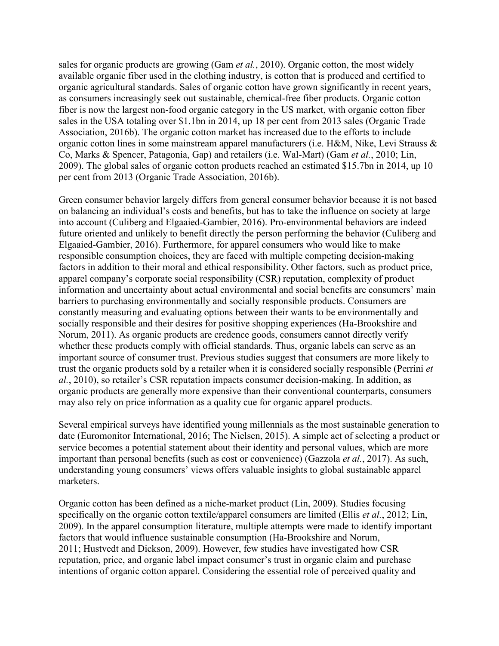sales for organic products are growing (Gam *et al.*, 2010). Organic cotton, the most widely available organic fiber used in the clothing industry, is cotton that is produced and certified to organic agricultural standards. Sales of organic cotton have grown significantly in recent years, as consumers increasingly seek out sustainable, chemical-free fiber products. Organic cotton fiber is now the largest non-food organic category in the US market, with organic cotton fiber sales in the USA totaling over \$1.1bn in 2014, up 18 per cent from 2013 sales (Organic Trade Association, 2016b). The organic cotton market has increased due to the efforts to include organic cotton lines in some mainstream apparel manufacturers (i.e. H&M, Nike, Levi Strauss & Co, Marks & Spencer, Patagonia, Gap) and retailers (i.e. Wal-Mart) (Gam *et al.*, 2010; Lin, 2009). The global sales of organic cotton products reached an estimated \$15.7bn in 2014, up 10 per cent from 2013 (Organic Trade Association, 2016b).

Green consumer behavior largely differs from general consumer behavior because it is not based on balancing an individual's costs and benefits, but has to take the influence on society at large into account (Culiberg and Elgaaied-Gambier, 2016). Pro-environmental behaviors are indeed future oriented and unlikely to benefit directly the person performing the behavior (Culiberg and Elgaaied-Gambier, 2016). Furthermore, for apparel consumers who would like to make responsible consumption choices, they are faced with multiple competing decision-making factors in addition to their moral and ethical responsibility. Other factors, such as product price, apparel company's corporate social responsibility (CSR) reputation, complexity of product information and uncertainty about actual environmental and social benefits are consumers' main barriers to purchasing environmentally and socially responsible products. Consumers are constantly measuring and evaluating options between their wants to be environmentally and socially responsible and their desires for positive shopping experiences (Ha-Brookshire and Norum, 2011). As organic products are credence goods, consumers cannot directly verify whether these products comply with official standards. Thus, organic labels can serve as an important source of consumer trust. Previous studies suggest that consumers are more likely to trust the organic products sold by a retailer when it is considered socially responsible (Perrini *et al.*, 2010), so retailer's CSR reputation impacts consumer decision-making. In addition, as organic products are generally more expensive than their conventional counterparts, consumers may also rely on price information as a quality cue for organic apparel products.

Several empirical surveys have identified young millennials as the most sustainable generation to date (Euromonitor International, 2016; The Nielsen, 2015). A simple act of selecting a product or service becomes a potential statement about their identity and personal values, which are more important than personal benefits (such as cost or convenience) (Gazzola *et al.*, 2017). As such, understanding young consumers' views offers valuable insights to global sustainable apparel marketers.

Organic cotton has been defined as a niche-market product (Lin, 2009). Studies focusing specifically on the organic cotton textile/apparel consumers are limited (Ellis *et al.*, 2012; Lin, 2009). In the apparel consumption literature, multiple attempts were made to identify important factors that would influence sustainable consumption (Ha-Brookshire and Norum, 2011; Hustvedt and Dickson, 2009). However, few studies have investigated how CSR reputation, price, and organic label impact consumer's trust in organic claim and purchase intentions of organic cotton apparel. Considering the essential role of perceived quality and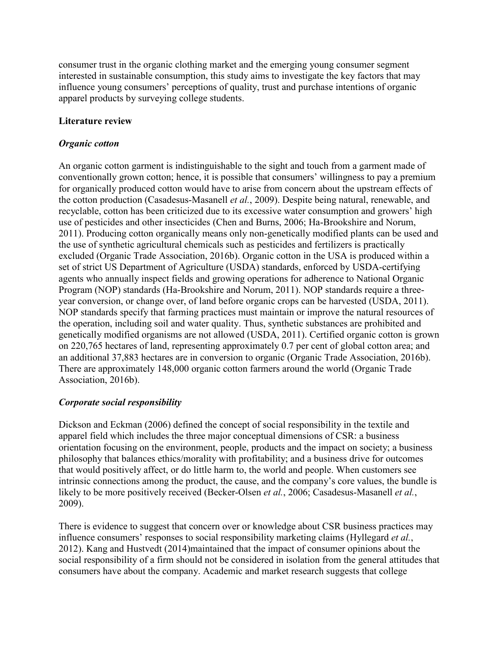consumer trust in the organic clothing market and the emerging young consumer segment interested in sustainable consumption, this study aims to investigate the key factors that may influence young consumers' perceptions of quality, trust and purchase intentions of organic apparel products by surveying college students.

### **Literature review**

### *Organic cotton*

An organic cotton garment is indistinguishable to the sight and touch from a garment made of conventionally grown cotton; hence, it is possible that consumers' willingness to pay a premium for organically produced cotton would have to arise from concern about the upstream effects of the cotton production (Casadesus-Masanell *et al.*, 2009). Despite being natural, renewable, and recyclable, cotton has been criticized due to its excessive water consumption and growers' high use of pesticides and other insecticides (Chen and Burns, 2006; Ha-Brookshire and Norum, 2011). Producing cotton organically means only non-genetically modified plants can be used and the use of synthetic agricultural chemicals such as pesticides and fertilizers is practically excluded (Organic Trade Association, 2016b). Organic cotton in the USA is produced within a set of strict US Department of Agriculture (USDA) standards, enforced by USDA-certifying agents who annually inspect fields and growing operations for adherence to National Organic Program (NOP) standards (Ha-Brookshire and Norum, 2011). NOP standards require a threeyear conversion, or change over, of land before organic crops can be harvested (USDA, 2011). NOP standards specify that farming practices must maintain or improve the natural resources of the operation, including soil and water quality. Thus, synthetic substances are prohibited and genetically modified organisms are not allowed (USDA, 2011). Certified organic cotton is grown on 220,765 hectares of land, representing approximately 0.7 per cent of global cotton area; and an additional 37,883 hectares are in conversion to organic (Organic Trade Association, 2016b). There are approximately 148,000 organic cotton farmers around the world (Organic Trade Association, 2016b).

### *Corporate social responsibility*

Dickson and Eckman (2006) defined the concept of social responsibility in the textile and apparel field which includes the three major conceptual dimensions of CSR: a business orientation focusing on the environment, people, products and the impact on society; a business philosophy that balances ethics/morality with profitability; and a business drive for outcomes that would positively affect, or do little harm to, the world and people. When customers see intrinsic connections among the product, the cause, and the company's core values, the bundle is likely to be more positively received (Becker-Olsen *et al.*, 2006; Casadesus-Masanell *et al.*, 2009).

There is evidence to suggest that concern over or knowledge about CSR business practices may influence consumers' responses to social responsibility marketing claims (Hyllegard *et al.*, 2012). Kang and Hustvedt (2014)maintained that the impact of consumer opinions about the social responsibility of a firm should not be considered in isolation from the general attitudes that consumers have about the company. Academic and market research suggests that college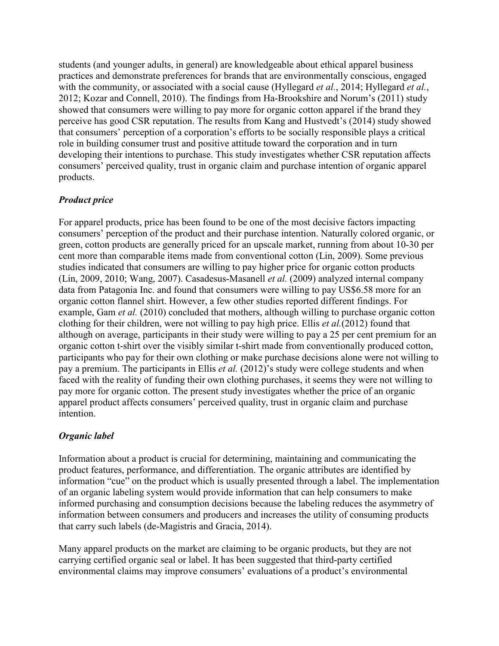students (and younger adults, in general) are knowledgeable about ethical apparel business practices and demonstrate preferences for brands that are environmentally conscious, engaged with the community, or associated with a social cause (Hyllegard *et al.*, 2014; Hyllegard *et al.*, 2012; Kozar and Connell, 2010). The findings from Ha-Brookshire and Norum's (2011) study showed that consumers were willing to pay more for organic cotton apparel if the brand they perceive has good CSR reputation. The results from Kang and Hustvedt's (2014) study showed that consumers' perception of a corporation's efforts to be socially responsible plays a critical role in building consumer trust and positive attitude toward the corporation and in turn developing their intentions to purchase. This study investigates whether CSR reputation affects consumers' perceived quality, trust in organic claim and purchase intention of organic apparel products.

# *Product price*

For apparel products, price has been found to be one of the most decisive factors impacting consumers' perception of the product and their purchase intention. Naturally colored organic, or green, cotton products are generally priced for an upscale market, running from about 10-30 per cent more than comparable items made from conventional cotton (Lin, 2009). Some previous studies indicated that consumers are willing to pay higher price for organic cotton products (Lin, 2009, 2010; Wang, 2007). Casadesus-Masanell *et al.* (2009) analyzed internal company data from Patagonia Inc. and found that consumers were willing to pay US\$6.58 more for an organic cotton flannel shirt. However, a few other studies reported different findings. For example, Gam *et al.* (2010) concluded that mothers, although willing to purchase organic cotton clothing for their children, were not willing to pay high price. Ellis *et al.*(2012) found that although on average, participants in their study were willing to pay a 25 per cent premium for an organic cotton t-shirt over the visibly similar t-shirt made from conventionally produced cotton, participants who pay for their own clothing or make purchase decisions alone were not willing to pay a premium. The participants in Ellis *et al.* (2012)'s study were college students and when faced with the reality of funding their own clothing purchases, it seems they were not willing to pay more for organic cotton. The present study investigates whether the price of an organic apparel product affects consumers' perceived quality, trust in organic claim and purchase intention.

### *Organic label*

Information about a product is crucial for determining, maintaining and communicating the product features, performance, and differentiation. The organic attributes are identified by information "cue" on the product which is usually presented through a label. The implementation of an organic labeling system would provide information that can help consumers to make informed purchasing and consumption decisions because the labeling reduces the asymmetry of information between consumers and producers and increases the utility of consuming products that carry such labels (de-Magistris and Gracia, 2014).

Many apparel products on the market are claiming to be organic products, but they are not carrying certified organic seal or label. It has been suggested that third-party certified environmental claims may improve consumers' evaluations of a product's environmental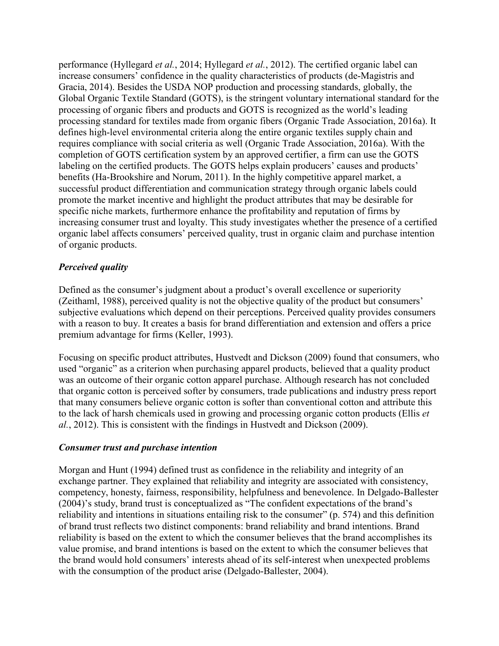performance (Hyllegard *et al.*, 2014; Hyllegard *et al.*, 2012). The certified organic label can increase consumers' confidence in the quality characteristics of products (de-Magistris and Gracia, 2014). Besides the USDA NOP production and processing standards, globally, the Global Organic Textile Standard (GOTS), is the stringent voluntary international standard for the processing of organic fibers and products and GOTS is recognized as the world's leading processing standard for textiles made from organic fibers (Organic Trade Association, 2016a). It defines high-level environmental criteria along the entire organic textiles supply chain and requires compliance with social criteria as well (Organic Trade Association, 2016a). With the completion of GOTS certification system by an approved certifier, a firm can use the GOTS labeling on the certified products. The GOTS helps explain producers' causes and products' benefits (Ha-Brookshire and Norum, 2011). In the highly competitive apparel market, a successful product differentiation and communication strategy through organic labels could promote the market incentive and highlight the product attributes that may be desirable for specific niche markets, furthermore enhance the profitability and reputation of firms by increasing consumer trust and loyalty. This study investigates whether the presence of a certified organic label affects consumers' perceived quality, trust in organic claim and purchase intention of organic products.

### *Perceived quality*

Defined as the consumer's judgment about a product's overall excellence or superiority (Zeithaml, 1988), perceived quality is not the objective quality of the product but consumers' subjective evaluations which depend on their perceptions. Perceived quality provides consumers with a reason to buy. It creates a basis for brand differentiation and extension and offers a price premium advantage for firms (Keller, 1993).

Focusing on specific product attributes, Hustvedt and Dickson (2009) found that consumers, who used "organic" as a criterion when purchasing apparel products, believed that a quality product was an outcome of their organic cotton apparel purchase. Although research has not concluded that organic cotton is perceived softer by consumers, trade publications and industry press report that many consumers believe organic cotton is softer than conventional cotton and attribute this to the lack of harsh chemicals used in growing and processing organic cotton products (Ellis *et al.*, 2012). This is consistent with the findings in Hustvedt and Dickson (2009).

### *Consumer trust and purchase intention*

Morgan and Hunt (1994) defined trust as confidence in the reliability and integrity of an exchange partner. They explained that reliability and integrity are associated with consistency, competency, honesty, fairness, responsibility, helpfulness and benevolence. In Delgado-Ballester (2004)'s study, brand trust is conceptualized as "The confident expectations of the brand's reliability and intentions in situations entailing risk to the consumer" (p. 574) and this definition of brand trust reflects two distinct components: brand reliability and brand intentions. Brand reliability is based on the extent to which the consumer believes that the brand accomplishes its value promise, and brand intentions is based on the extent to which the consumer believes that the brand would hold consumers' interests ahead of its self-interest when unexpected problems with the consumption of the product arise (Delgado-Ballester, 2004).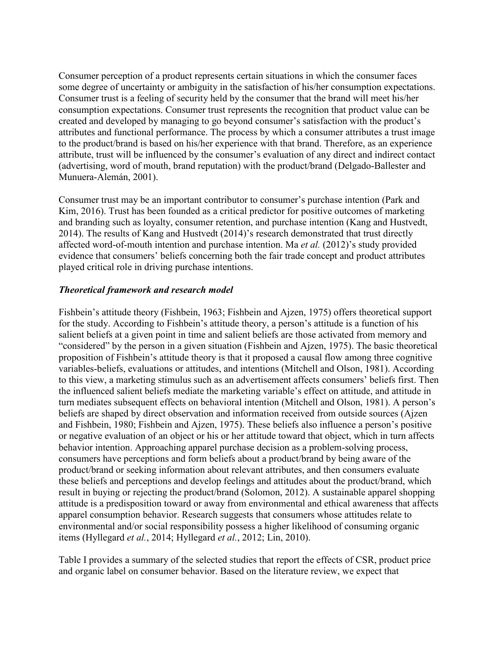Consumer perception of a product represents certain situations in which the consumer faces some degree of uncertainty or ambiguity in the satisfaction of his/her consumption expectations. Consumer trust is a feeling of security held by the consumer that the brand will meet his/her consumption expectations. Consumer trust represents the recognition that product value can be created and developed by managing to go beyond consumer's satisfaction with the product's attributes and functional performance. The process by which a consumer attributes a trust image to the product/brand is based on his/her experience with that brand. Therefore, as an experience attribute, trust will be influenced by the consumer's evaluation of any direct and indirect contact (advertising, word of mouth, brand reputation) with the product/brand (Delgado-Ballester and Munuera-Alemán, 2001).

Consumer trust may be an important contributor to consumer's purchase intention (Park and Kim, 2016). Trust has been founded as a critical predictor for positive outcomes of marketing and branding such as loyalty, consumer retention, and purchase intention (Kang and Hustvedt, 2014). The results of Kang and Hustvedt (2014)'s research demonstrated that trust directly affected word-of-mouth intention and purchase intention. Ma *et al.* (2012)'s study provided evidence that consumers' beliefs concerning both the fair trade concept and product attributes played critical role in driving purchase intentions.

### *Theoretical framework and research model*

Fishbein's attitude theory (Fishbein, 1963; Fishbein and Ajzen, 1975) offers theoretical support for the study. According to Fishbein's attitude theory, a person's attitude is a function of his salient beliefs at a given point in time and salient beliefs are those activated from memory and "considered" by the person in a given situation (Fishbein and Ajzen, 1975). The basic theoretical proposition of Fishbein's attitude theory is that it proposed a causal flow among three cognitive variables-beliefs, evaluations or attitudes, and intentions (Mitchell and Olson, 1981). According to this view, a marketing stimulus such as an advertisement affects consumers' beliefs first. Then the influenced salient beliefs mediate the marketing variable's effect on attitude, and attitude in turn mediates subsequent effects on behavioral intention (Mitchell and Olson, 1981). A person's beliefs are shaped by direct observation and information received from outside sources (Ajzen and Fishbein, 1980; Fishbein and Ajzen, 1975). These beliefs also influence a person's positive or negative evaluation of an object or his or her attitude toward that object, which in turn affects behavior intention. Approaching apparel purchase decision as a problem-solving process, consumers have perceptions and form beliefs about a product/brand by being aware of the product/brand or seeking information about relevant attributes, and then consumers evaluate these beliefs and perceptions and develop feelings and attitudes about the product/brand, which result in buying or rejecting the product/brand (Solomon, 2012). A sustainable apparel shopping attitude is a predisposition toward or away from environmental and ethical awareness that affects apparel consumption behavior. Research suggests that consumers whose attitudes relate to environmental and/or social responsibility possess a higher likelihood of consuming organic items (Hyllegard *et al.*, 2014; Hyllegard *et al.*, 2012; Lin, 2010).

Table I provides a summary of the selected studies that report the effects of CSR, product price and organic label on consumer behavior. Based on the literature review, we expect that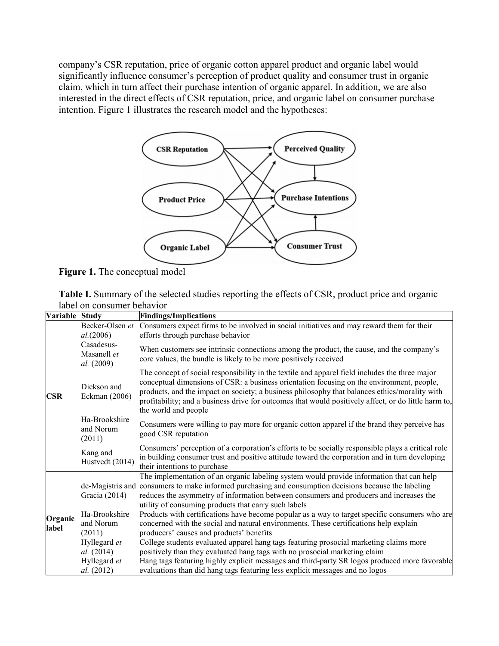company's CSR reputation, price of organic cotton apparel product and organic label would significantly influence consumer's perception of product quality and consumer trust in organic claim, which in turn affect their purchase intention of organic apparel. In addition, we are also interested in the direct effects of CSR reputation, price, and organic label on consumer purchase intention. Figure 1 illustrates the research model and the hypotheses:



**Figure 1.** The conceptual model

| Table I. Summary of the selected studies reporting the effects of CSR, product price and organic |  |
|--------------------------------------------------------------------------------------------------|--|
| label on consumer behavior                                                                       |  |

| Variable Study   |                                                | <b>Findings/Implications</b>                                                                                                                                                                                                                                                                                                                                                                                                 |
|------------------|------------------------------------------------|------------------------------------------------------------------------------------------------------------------------------------------------------------------------------------------------------------------------------------------------------------------------------------------------------------------------------------------------------------------------------------------------------------------------------|
| CSR              | al. (2006)                                     | Becker-Olsen et Consumers expect firms to be involved in social initiatives and may reward them for their<br>efforts through purchase behavior                                                                                                                                                                                                                                                                               |
|                  | Casadesus-<br>Masanell et<br><i>al.</i> (2009) | When customers see intrinsic connections among the product, the cause, and the company's<br>core values, the bundle is likely to be more positively received                                                                                                                                                                                                                                                                 |
|                  | Dickson and<br>Eckman (2006)                   | The concept of social responsibility in the textile and apparel field includes the three major<br>conceptual dimensions of CSR: a business orientation focusing on the environment, people,<br>products, and the impact on society; a business philosophy that balances ethics/morality with<br>profitability; and a business drive for outcomes that would positively affect, or do little harm to,<br>the world and people |
|                  | Ha-Brookshire<br>and Norum<br>(2011)           | Consumers were willing to pay more for organic cotton apparel if the brand they perceive has<br>good CSR reputation                                                                                                                                                                                                                                                                                                          |
|                  | Kang and<br>Hustvedt (2014)                    | Consumers' perception of a corporation's efforts to be socially responsible plays a critical role<br>in building consumer trust and positive attitude toward the corporation and in turn developing<br>their intentions to purchase                                                                                                                                                                                          |
| Organic<br>label | Gracia (2014)                                  | The implementation of an organic labeling system would provide information that can help<br>de-Magistris and consumers to make informed purchasing and consumption decisions because the labeling<br>reduces the asymmetry of information between consumers and producers and increases the<br>utility of consuming products that carry such labels                                                                          |
|                  | Ha-Brookshire<br>and Norum<br>(2011)           | Products with certifications have become popular as a way to target specific consumers who are<br>concerned with the social and natural environments. These certifications help explain<br>producers' causes and products' benefits                                                                                                                                                                                          |
|                  | Hyllegard et<br>al. (2014)                     | College students evaluated apparel hang tags featuring prosocial marketing claims more<br>positively than they evaluated hang tags with no prosocial marketing claim                                                                                                                                                                                                                                                         |
|                  | Hyllegard et<br>al. (2012)                     | Hang tags featuring highly explicit messages and third-party SR logos produced more favorable<br>evaluations than did hang tags featuring less explicit messages and no logos                                                                                                                                                                                                                                                |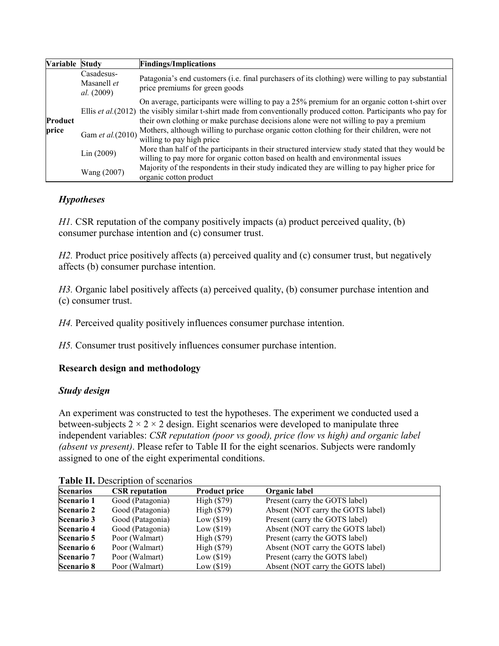| Variable Study   |                                                | <b>Findings/Implications</b>                                                                                                                                                                                                                                                                                 |
|------------------|------------------------------------------------|--------------------------------------------------------------------------------------------------------------------------------------------------------------------------------------------------------------------------------------------------------------------------------------------------------------|
| Product<br>price | Casadesus-<br>Masanell et<br><i>al.</i> (2009) | Patagonia's end customers (i.e. final purchasers of its clothing) were willing to pay substantial<br>price premiums for green goods                                                                                                                                                                          |
|                  |                                                | On average, participants were willing to pay a 25% premium for an organic cotton t-shirt over<br>Ellis et al. (2012) the visibly similar t-shirt made from conventionally produced cotton. Participants who pay for<br>their own clothing or make purchase decisions alone were not willing to pay a premium |
|                  | Gam et al.(2010)                               | Mothers, although willing to purchase organic cotton clothing for their children, were not<br>willing to pay high price                                                                                                                                                                                      |
|                  | Lin(2009)                                      | More than half of the participants in their structured interview study stated that they would be<br>willing to pay more for organic cotton based on health and environmental issues                                                                                                                          |
|                  | Wang (2007)                                    | Majority of the respondents in their study indicated they are willing to pay higher price for<br>organic cotton product                                                                                                                                                                                      |

# *Hypotheses*

*H1*. CSR reputation of the company positively impacts (a) product perceived quality, (b) consumer purchase intention and (c) consumer trust.

*H2*. Product price positively affects (a) perceived quality and (c) consumer trust, but negatively affects (b) consumer purchase intention.

*H3.* Organic label positively affects (a) perceived quality, (b) consumer purchase intention and (c) consumer trust.

*H4.* Perceived quality positively influences consumer purchase intention.

*H5.* Consumer trust positively influences consumer purchase intention.

### **Research design and methodology**

### *Study design*

An experiment was constructed to test the hypotheses. The experiment we conducted used a between-subjects  $2 \times 2 \times 2$  design. Eight scenarios were developed to manipulate three independent variables: *CSR reputation (poor vs good), price (low vs high) and organic label (absent vs present)*. Please refer to Table II for the eight scenarios. Subjects were randomly assigned to one of the eight experimental conditions.

| <b>Table II.</b> Describiton of scenarios |                       |                      |                                   |  |  |  |
|-------------------------------------------|-----------------------|----------------------|-----------------------------------|--|--|--|
| <b>Scenarios</b>                          | <b>CSR</b> reputation | <b>Product price</b> | Organic label                     |  |  |  |
| Scenario 1                                | Good (Patagonia)      | $High (\$79)$        | Present (carry the GOTS label)    |  |  |  |
| <b>Scenario 2</b>                         | Good (Patagonia)      | High (\$79)          | Absent (NOT carry the GOTS label) |  |  |  |
| <b>Scenario 3</b>                         | Good (Patagonia)      | Low (\$19)           | Present (carry the GOTS label)    |  |  |  |
| Scenario 4                                | Good (Patagonia)      | Low (\$19)           | Absent (NOT carry the GOTS label) |  |  |  |
| <b>Scenario 5</b>                         | Poor (Walmart)        | $High (\$79)$        | Present (carry the GOTS label)    |  |  |  |
| Scenario 6                                | Poor (Walmart)        | $High (\$79)$        | Absent (NOT carry the GOTS label) |  |  |  |
| Scenario 7                                | Poor (Walmart)        | Low (\$19)           | Present (carry the GOTS label)    |  |  |  |
| <b>Scenario 8</b>                         | Poor (Walmart)        | Low (\$19)           | Absent (NOT carry the GOTS label) |  |  |  |

### **Table II.** Description of scenarios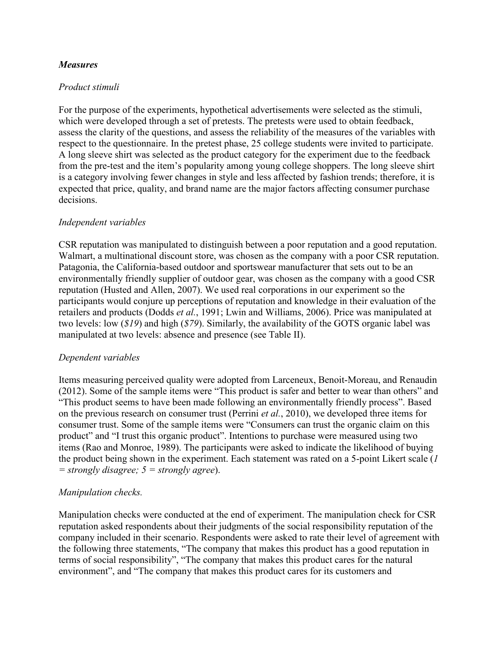### *Measures*

#### *Product stimuli*

For the purpose of the experiments, hypothetical advertisements were selected as the stimuli, which were developed through a set of pretests. The pretests were used to obtain feedback, assess the clarity of the questions, and assess the reliability of the measures of the variables with respect to the questionnaire. In the pretest phase, 25 college students were invited to participate. A long sleeve shirt was selected as the product category for the experiment due to the feedback from the pre-test and the item's popularity among young college shoppers. The long sleeve shirt is a category involving fewer changes in style and less affected by fashion trends; therefore, it is expected that price, quality, and brand name are the major factors affecting consumer purchase decisions.

### *Independent variables*

CSR reputation was manipulated to distinguish between a poor reputation and a good reputation. Walmart, a multinational discount store, was chosen as the company with a poor CSR reputation. Patagonia, the California-based outdoor and sportswear manufacturer that sets out to be an environmentally friendly supplier of outdoor gear, was chosen as the company with a good CSR reputation (Husted and Allen, 2007). We used real corporations in our experiment so the participants would conjure up perceptions of reputation and knowledge in their evaluation of the retailers and products (Dodds *et al.*, 1991; Lwin and Williams, 2006). Price was manipulated at two levels: low (*\$19*) and high (*\$79*). Similarly, the availability of the GOTS organic label was manipulated at two levels: absence and presence (see Table II).

#### *Dependent variables*

Items measuring perceived quality were adopted from Larceneux, Benoit-Moreau, and Renaudin (2012). Some of the sample items were "This product is safer and better to wear than others" and "This product seems to have been made following an environmentally friendly process". Based on the previous research on consumer trust (Perrini *et al.*, 2010), we developed three items for consumer trust. Some of the sample items were "Consumers can trust the organic claim on this product" and "I trust this organic product". Intentions to purchase were measured using two items (Rao and Monroe, 1989). The participants were asked to indicate the likelihood of buying the product being shown in the experiment. Each statement was rated on a 5-point Likert scale (*1 = strongly disagree; 5 = strongly agree*).

#### *Manipulation checks.*

Manipulation checks were conducted at the end of experiment. The manipulation check for CSR reputation asked respondents about their judgments of the social responsibility reputation of the company included in their scenario. Respondents were asked to rate their level of agreement with the following three statements, "The company that makes this product has a good reputation in terms of social responsibility", "The company that makes this product cares for the natural environment", and "The company that makes this product cares for its customers and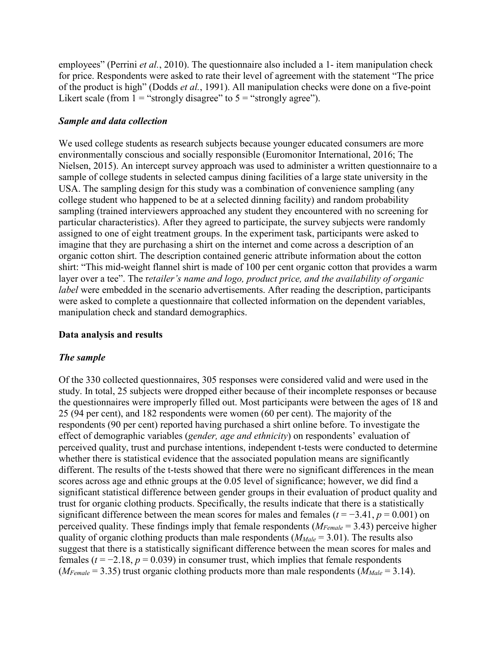employees" (Perrini *et al.*, 2010). The questionnaire also included a 1- item manipulation check for price. Respondents were asked to rate their level of agreement with the statement "The price of the product is high" (Dodds *et al.*, 1991). All manipulation checks were done on a five-point Likert scale (from  $1 =$  "strongly disagree" to  $5 =$  "strongly agree").

### *Sample and data collection*

We used college students as research subjects because younger educated consumers are more environmentally conscious and socially responsible (Euromonitor International, 2016; The Nielsen, 2015). An intercept survey approach was used to administer a written questionnaire to a sample of college students in selected campus dining facilities of a large state university in the USA. The sampling design for this study was a combination of convenience sampling (any college student who happened to be at a selected dinning facility) and random probability sampling (trained interviewers approached any student they encountered with no screening for particular characteristics). After they agreed to participate, the survey subjects were randomly assigned to one of eight treatment groups. In the experiment task, participants were asked to imagine that they are purchasing a shirt on the internet and come across a description of an organic cotton shirt. The description contained generic attribute information about the cotton shirt: "This mid-weight flannel shirt is made of 100 per cent organic cotton that provides a warm layer over a tee". The r*etailer's name and logo, product price, and the availability of organic label* were embedded in the scenario advertisements. After reading the description, participants were asked to complete a questionnaire that collected information on the dependent variables, manipulation check and standard demographics.

### **Data analysis and results**

### *The sample*

Of the 330 collected questionnaires, 305 responses were considered valid and were used in the study. In total, 25 subjects were dropped either because of their incomplete responses or because the questionnaires were improperly filled out. Most participants were between the ages of 18 and 25 (94 per cent), and 182 respondents were women (60 per cent). The majority of the respondents (90 per cent) reported having purchased a shirt online before. To investigate the effect of demographic variables (*gender, age and ethnicity*) on respondents' evaluation of perceived quality, trust and purchase intentions, independent t-tests were conducted to determine whether there is statistical evidence that the associated population means are significantly different. The results of the t-tests showed that there were no significant differences in the mean scores across age and ethnic groups at the 0.05 level of significance; however, we did find a significant statistical difference between gender groups in their evaluation of product quality and trust for organic clothing products. Specifically, the results indicate that there is a statistically significant difference between the mean scores for males and females ( $t = -3.41$ ,  $p = 0.001$ ) on perceived quality. These findings imply that female respondents (*MFemale* = 3.43) perceive higher quality of organic clothing products than male respondents ( $M_{Male} = 3.01$ ). The results also suggest that there is a statistically significant difference between the mean scores for males and females  $(t = -2.18, p = 0.039)$  in consumer trust, which implies that female respondents (*MFemale* = 3.35) trust organic clothing products more than male respondents (*MMale* = 3.14).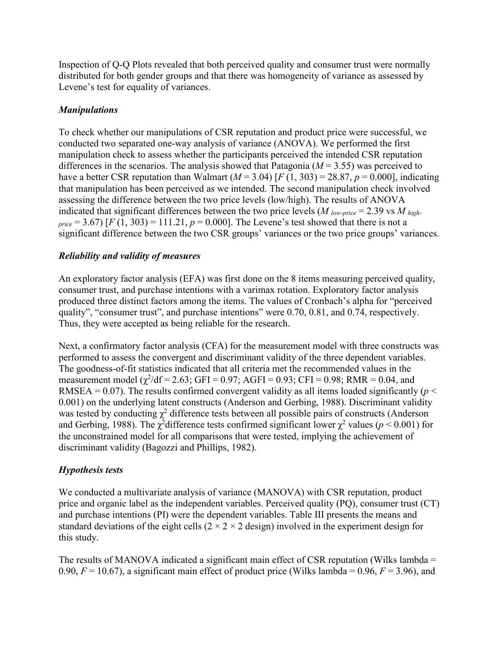Inspection of Q-Q Plots revealed that both perceived quality and consumer trust were normally distributed for both gender groups and that there was homogeneity of variance as assessed by Levene's test for equality of variances.

## *Manipulations*

To check whether our manipulations of CSR reputation and product price were successful, we conducted two separated one-way analysis of variance (ANOVA). We performed the first manipulation check to assess whether the participants perceived the intended CSR reputation differences in the scenarios. The analysis showed that Patagonia  $(M = 3.55)$  was perceived to have a better CSR reputation than Walmart ( $M = 3.04$ ) [ $F(1, 303) = 28.87$ ,  $p = 0.000$ ], indicating that manipulation has been perceived as we intended. The second manipulation check involved assessing the difference between the two price levels (low/high). The results of ANOVA indicated that significant differences between the two price levels ( $M_{low-price} = 2.39$  vs  $M_{high-}$  $p_{\text{price}} = 3.67$  [*F* (1, 303) = 111.21,  $p = 0.000$ ]. The Levene's test showed that there is not a significant difference between the two CSR groups' variances or the two price groups' variances.

### *Reliability and validity of measures*

An exploratory factor analysis (EFA) was first done on the 8 items measuring perceived quality, consumer trust, and purchase intentions with a varimax rotation. Exploratory factor analysis produced three distinct factors among the items. The values of Cronbach's alpha for "perceived quality", "consumer trust", and purchase intentions" were 0.70, 0.81, and 0.74, respectively. Thus, they were accepted as being reliable for the research.

Next, a confirmatory factor analysis (CFA) for the measurement model with three constructs was performed to assess the convergent and discriminant validity of the three dependent variables. The goodness-of-fit statistics indicated that all criteria met the recommended values in the measurement model  $(\chi^2/df = 2.63; GFI = 0.97; AGFI = 0.93; CFI = 0.98; RMR = 0.04$ , and RMSEA = 0.07). The results confirmed convergent validity as all items loaded significantly ( $p <$ 0.001) on the underlying latent constructs (Anderson and Gerbing, 1988). Discriminant validity was tested by conducting  $\chi^2$  difference tests between all possible pairs of constructs (Anderson and Gerbing, 1988). The  $\chi^2$ difference tests confirmed significant lower  $\chi^2$  values ( $p < 0.001$ ) for the unconstrained model for all comparisons that were tested, implying the achievement of discriminant validity (Bagozzi and Phillips, 1982).

### *Hypothesis tests*

We conducted a multivariate analysis of variance (MANOVA) with CSR reputation, product price and organic label as the independent variables. Perceived quality (PQ), consumer trust (CT) and purchase intentions (PI) were the dependent variables. Table III presents the means and standard deviations of the eight cells  $(2 \times 2 \times 2$  design) involved in the experiment design for this study.

The results of MANOVA indicated a significant main effect of CSR reputation (Wilks lambda = 0.90,  $F = 10.67$ ), a significant main effect of product price (Wilks lambda = 0.96,  $F = 3.96$ ), and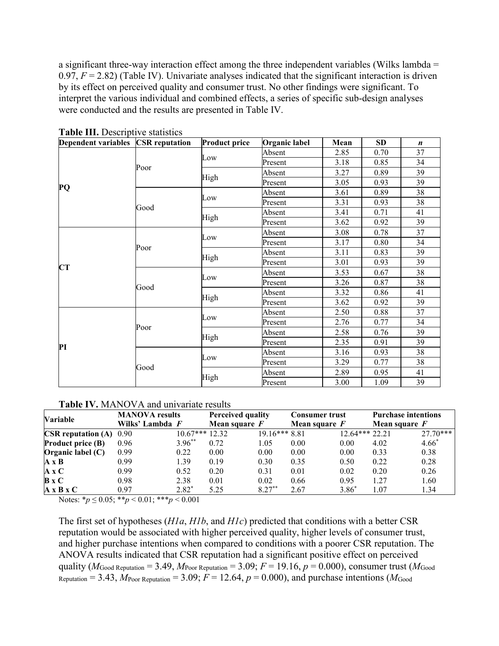a significant three-way interaction effect among the three independent variables (Wilks lambda = 0.97,  $F = 2.82$ ) (Table IV). Univariate analyses indicated that the significant interaction is driven by its effect on perceived quality and consumer trust. No other findings were significant. To interpret the various individual and combined effects, a series of specific sub-design analyses were conducted and the results are presented in Table IV.

| <b>Dependent variables CSR reputation</b> |                                              | <b>Product price</b> | Organic label | Mean | <b>SD</b> | $\boldsymbol{n}$ |
|-------------------------------------------|----------------------------------------------|----------------------|---------------|------|-----------|------------------|
|                                           |                                              | Low                  | Absent        | 2.85 | 0.70      | 37               |
|                                           |                                              |                      | Present       | 3.18 | 0.85      | 34               |
|                                           |                                              | High                 | Absent        | 3.27 | 0.89      | 39               |
| PQ                                        |                                              |                      | Present       | 3.05 | 0.93      | 39               |
|                                           |                                              |                      | Absent        | 3.61 | 0.89      | 38               |
|                                           |                                              | Low                  | Present       | 3.31 | 0.93      | 38               |
|                                           |                                              | High                 | Absent        | 3.41 | 0.71      | 41               |
|                                           |                                              |                      | Present       | 3.62 | 0.92      | 39               |
|                                           |                                              |                      | Absent        | 3.08 | 0.78      | 37               |
|                                           |                                              | Low                  | Present       | 3.17 | 0.80      | 34               |
|                                           |                                              | High                 | Absent        | 3.11 | 0.83      | 39               |
| <b>CT</b>                                 |                                              |                      | Present       | 3.01 | 0.93      | 39               |
|                                           |                                              |                      | Absent        | 3.53 | 0.67      | 38               |
|                                           |                                              | Low                  | Present       | 3.26 | 0.87      | 38               |
|                                           |                                              | High                 | Absent        | 3.32 | 0.86      | 41               |
|                                           |                                              |                      | Present       | 3.62 | 0.92      | 39               |
|                                           |                                              |                      | Absent        | 2.50 | 0.88      | 37               |
|                                           |                                              | Low                  | Present       | 2.76 | 0.77      | 34               |
|                                           |                                              | High                 | Absent        | 2.58 | 0.76      | 39               |
| PI                                        |                                              |                      | Present       | 2.35 | 0.91      | 39               |
|                                           |                                              | Low                  | Absent        | 3.16 | 0.93      | 38               |
|                                           | Poor<br>Good<br>Poor<br>Good<br>Poor<br>Good |                      | Present       | 3.29 | 0.77      | 38               |
|                                           |                                              |                      | Absent        | 2.89 | 0.95      | 41               |
|                                           |                                              | High                 | Present       | 3.00 | 1.09      | 39               |

**Table III.** Descriptive statistics

|  | Table IV. MANOVA and univariate results |
|--|-----------------------------------------|
|--|-----------------------------------------|

| Variable                           | <b>MANOVA</b> results |                 | <b>Perceived quality</b> |                | <b>Consumer trust</b> |                | <b>Purchase intentions</b> |            |
|------------------------------------|-----------------------|-----------------|--------------------------|----------------|-----------------------|----------------|----------------------------|------------|
|                                    | Wilks' Lambda F       |                 | Mean square $F$          |                | Mean square $F$       |                | Mean square $F$            |            |
| $\text{CSR}$ reputation (A) 0.90   |                       | $10.67***12.32$ |                          | $19.16***8.81$ |                       | 12.64*** 22.21 |                            | $27.70***$ |
| Product price (B)                  | 0.96                  | $3.96***$       | 0.72                     | 1.05           | 0.00                  | 0.00           | 4.02                       | $4.66*$    |
| Organic label $(C)$                | 0.99                  | 0.22            | 0.00                     | 0.00           | 0.00                  | 0.00           | 0.33                       | 0.38       |
| AxB                                | 0.99                  | 1.39            | 0.19                     | 0.30           | 0.35                  | 0.50           | 0.22                       | 0.28       |
| $\mathbf{A} \mathbf{x} \mathbf{C}$ | 0.99                  | 0.52            | 0.20                     | 0.31           | 0.01                  | 0.02           | 0.20                       | 0.26       |
| B x C                              | 0.98                  | 2.38            | 0.01                     | 0.02           | 0.66                  | 0.95           | 1.27                       | 1.60       |
| $A \times B \times C$              | 0.97                  | $2.82*$         | 5.25                     | $8.27***$      | 2.67                  | $3.86^*$       | 1.07                       | 1.34       |

Notes: \**p* ≤ 0.05; \*\**p* < 0.01; \*\*\**p* < 0.001

The first set of hypotheses (*H1a*, *H1b*, and *H1c*) predicted that conditions with a better CSR reputation would be associated with higher perceived quality, higher levels of consumer trust, and higher purchase intentions when compared to conditions with a poorer CSR reputation. The ANOVA results indicated that CSR reputation had a significant positive effect on perceived quality ( $M_{\text{Good Reputation}} = 3.49$ ,  $M_{\text{Por Reputation}} = 3.09$ ;  $F = 19.16$ ,  $p = 0.000$ ), consumer trust ( $M_{\text{Good}}$ Reputation = 3.43,  $\dot{M}_{\text{Poor Reputation}} = 3.09$ ;  $\dot{F} = 12.64$ ,  $p = 0.000$ ), and purchase intentions ( $M_{\text{Good}}$ )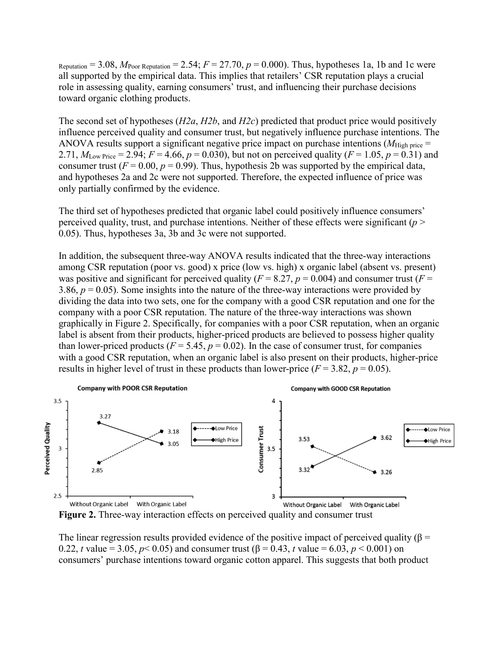Reputation = 3.08,  $M_{\text{Poor Reputation}} = 2.54$ ;  $F = 27.70$ ,  $p = 0.000$ ). Thus, hypotheses 1a, 1b and 1c were all supported by the empirical data. This implies that retailers' CSR reputation plays a crucial role in assessing quality, earning consumers' trust, and influencing their purchase decisions toward organic clothing products.

The second set of hypotheses (*H2a*, *H2b*, and *H2c*) predicted that product price would positively influence perceived quality and consumer trust, but negatively influence purchase intentions. The ANOVA results support a significant negative price impact on purchase intentions ( $M_{High\, price}$  = 2.71,  $M_{\text{Low Price}} = 2.94$ ;  $F = 4.66$ ,  $p = 0.030$ ), but not on perceived quality ( $F = 1.05$ ,  $p = 0.31$ ) and consumer trust  $(F = 0.00, p = 0.99)$ . Thus, hypothesis 2b was supported by the empirical data, and hypotheses 2a and 2c were not supported. Therefore, the expected influence of price was only partially confirmed by the evidence.

The third set of hypotheses predicted that organic label could positively influence consumers' perceived quality, trust, and purchase intentions. Neither of these effects were significant (*p* > 0.05). Thus, hypotheses 3a, 3b and 3c were not supported.

In addition, the subsequent three-way ANOVA results indicated that the three-way interactions among CSR reputation (poor vs. good) x price (low vs. high) x organic label (absent vs. present) was positive and significant for perceived quality ( $F = 8.27$ ,  $p = 0.004$ ) and consumer trust ( $F =$ 3.86,  $p = 0.05$ ). Some insights into the nature of the three-way interactions were provided by dividing the data into two sets, one for the company with a good CSR reputation and one for the company with a poor CSR reputation. The nature of the three-way interactions was shown graphically in Figure 2. Specifically, for companies with a poor CSR reputation, when an organic label is absent from their products, higher-priced products are believed to possess higher quality than lower-priced products ( $F = 5.45$ ,  $p = 0.02$ ). In the case of consumer trust, for companies with a good CSR reputation, when an organic label is also present on their products, higher-price results in higher level of trust in these products than lower-price  $(F = 3.82, p = 0.05)$ .



**Figure 2.** Three-way interaction effects on perceived quality and consumer trust

The linear regression results provided evidence of the positive impact of perceived quality ( $\beta$  = 0.22, *t* value = 3.05,  $p$ < 0.05) and consumer trust ( $\beta$  = 0.43, *t* value = 6.03,  $p$  < 0.001) on consumers' purchase intentions toward organic cotton apparel. This suggests that both product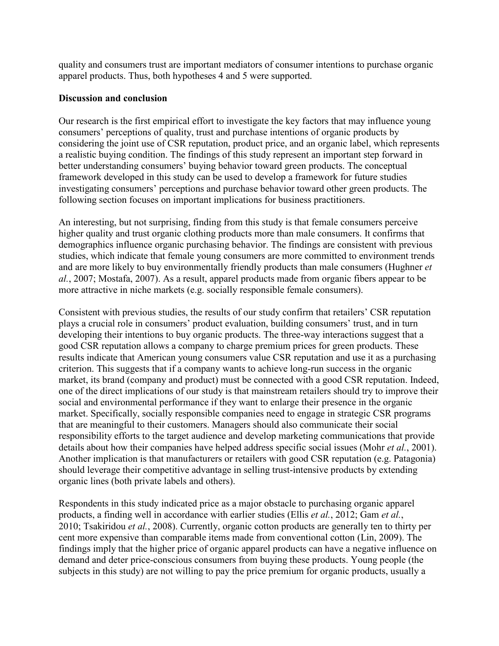quality and consumers trust are important mediators of consumer intentions to purchase organic apparel products. Thus, both hypotheses 4 and 5 were supported.

#### **Discussion and conclusion**

Our research is the first empirical effort to investigate the key factors that may influence young consumers' perceptions of quality, trust and purchase intentions of organic products by considering the joint use of CSR reputation, product price, and an organic label, which represents a realistic buying condition. The findings of this study represent an important step forward in better understanding consumers' buying behavior toward green products. The conceptual framework developed in this study can be used to develop a framework for future studies investigating consumers' perceptions and purchase behavior toward other green products. The following section focuses on important implications for business practitioners.

An interesting, but not surprising, finding from this study is that female consumers perceive higher quality and trust organic clothing products more than male consumers. It confirms that demographics influence organic purchasing behavior. The findings are consistent with previous studies, which indicate that female young consumers are more committed to environment trends and are more likely to buy environmentally friendly products than male consumers (Hughner *et al.*, 2007; Mostafa, 2007). As a result, apparel products made from organic fibers appear to be more attractive in niche markets (e.g. socially responsible female consumers).

Consistent with previous studies, the results of our study confirm that retailers' CSR reputation plays a crucial role in consumers' product evaluation, building consumers' trust, and in turn developing their intentions to buy organic products. The three-way interactions suggest that a good CSR reputation allows a company to charge premium prices for green products. These results indicate that American young consumers value CSR reputation and use it as a purchasing criterion. This suggests that if a company wants to achieve long-run success in the organic market, its brand (company and product) must be connected with a good CSR reputation. Indeed, one of the direct implications of our study is that mainstream retailers should try to improve their social and environmental performance if they want to enlarge their presence in the organic market. Specifically, socially responsible companies need to engage in strategic CSR programs that are meaningful to their customers. Managers should also communicate their social responsibility efforts to the target audience and develop marketing communications that provide details about how their companies have helped address specific social issues (Mohr *et al.*, 2001). Another implication is that manufacturers or retailers with good CSR reputation (e.g. Patagonia) should leverage their competitive advantage in selling trust-intensive products by extending organic lines (both private labels and others).

Respondents in this study indicated price as a major obstacle to purchasing organic apparel products, a finding well in accordance with earlier studies (Ellis *et al.*, 2012; Gam *et al.*, 2010; Tsakiridou *et al.*, 2008). Currently, organic cotton products are generally ten to thirty per cent more expensive than comparable items made from conventional cotton (Lin, 2009). The findings imply that the higher price of organic apparel products can have a negative influence on demand and deter price-conscious consumers from buying these products. Young people (the subjects in this study) are not willing to pay the price premium for organic products, usually a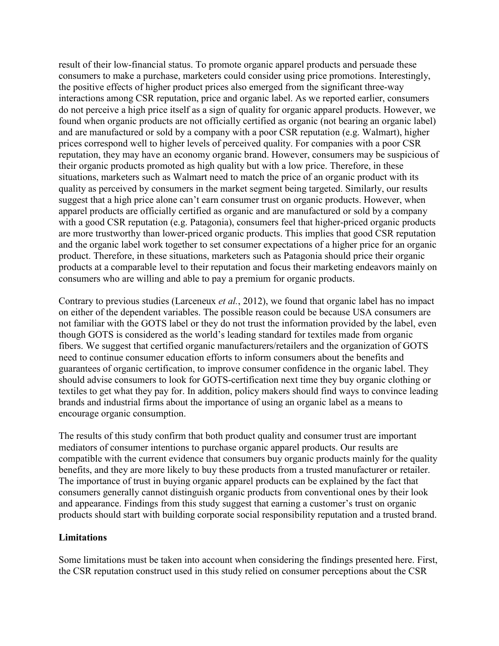result of their low-financial status. To promote organic apparel products and persuade these consumers to make a purchase, marketers could consider using price promotions. Interestingly, the positive effects of higher product prices also emerged from the significant three-way interactions among CSR reputation, price and organic label. As we reported earlier, consumers do not perceive a high price itself as a sign of quality for organic apparel products. However, we found when organic products are not officially certified as organic (not bearing an organic label) and are manufactured or sold by a company with a poor CSR reputation (e.g. Walmart), higher prices correspond well to higher levels of perceived quality. For companies with a poor CSR reputation, they may have an economy organic brand. However, consumers may be suspicious of their organic products promoted as high quality but with a low price. Therefore, in these situations, marketers such as Walmart need to match the price of an organic product with its quality as perceived by consumers in the market segment being targeted. Similarly, our results suggest that a high price alone can't earn consumer trust on organic products. However, when apparel products are officially certified as organic and are manufactured or sold by a company with a good CSR reputation (e.g. Patagonia), consumers feel that higher-priced organic products are more trustworthy than lower-priced organic products. This implies that good CSR reputation and the organic label work together to set consumer expectations of a higher price for an organic product. Therefore, in these situations, marketers such as Patagonia should price their organic products at a comparable level to their reputation and focus their marketing endeavors mainly on consumers who are willing and able to pay a premium for organic products.

Contrary to previous studies (Larceneux *et al.*, 2012), we found that organic label has no impact on either of the dependent variables. The possible reason could be because USA consumers are not familiar with the GOTS label or they do not trust the information provided by the label, even though GOTS is considered as the world's leading standard for textiles made from organic fibers. We suggest that certified organic manufacturers/retailers and the organization of GOTS need to continue consumer education efforts to inform consumers about the benefits and guarantees of organic certification, to improve consumer confidence in the organic label. They should advise consumers to look for GOTS-certification next time they buy organic clothing or textiles to get what they pay for. In addition, policy makers should find ways to convince leading brands and industrial firms about the importance of using an organic label as a means to encourage organic consumption.

The results of this study confirm that both product quality and consumer trust are important mediators of consumer intentions to purchase organic apparel products. Our results are compatible with the current evidence that consumers buy organic products mainly for the quality benefits, and they are more likely to buy these products from a trusted manufacturer or retailer. The importance of trust in buying organic apparel products can be explained by the fact that consumers generally cannot distinguish organic products from conventional ones by their look and appearance. Findings from this study suggest that earning a customer's trust on organic products should start with building corporate social responsibility reputation and a trusted brand.

#### **Limitations**

Some limitations must be taken into account when considering the findings presented here. First, the CSR reputation construct used in this study relied on consumer perceptions about the CSR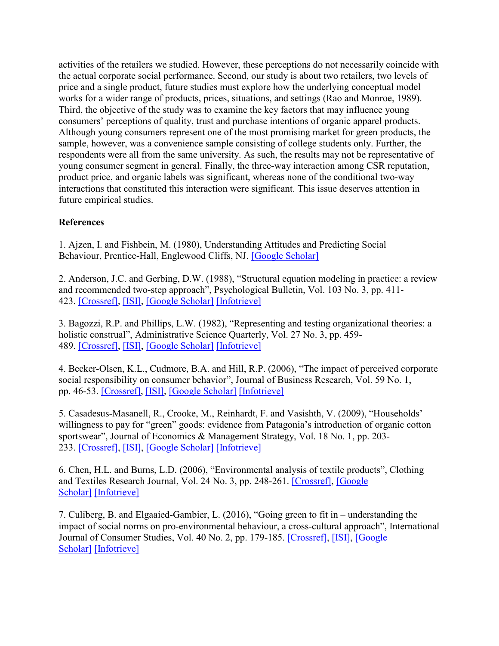activities of the retailers we studied. However, these perceptions do not necessarily coincide with the actual corporate social performance. Second, our study is about two retailers, two levels of price and a single product, future studies must explore how the underlying conceptual model works for a wider range of products, prices, situations, and settings (Rao and Monroe, 1989). Third, the objective of the study was to examine the key factors that may influence young consumers' perceptions of quality, trust and purchase intentions of organic apparel products. Although young consumers represent one of the most promising market for green products, the sample, however, was a convenience sample consisting of college students only. Further, the respondents were all from the same university. As such, the results may not be representative of young consumer segment in general. Finally, the three-way interaction among CSR reputation, product price, and organic labels was significant, whereas none of the conditional two-way interactions that constituted this interaction were significant. This issue deserves attention in future empirical studies.

# **References**

1. Ajzen, I. and Fishbein, M. (1980), Understanding Attitudes and Predicting Social Behaviour, Prentice-Hall, Englewood Cliffs, NJ. [\[Google Scholar\]](http://scholar.google.com/scholar_lookup?hl=en&publication_year=1980&author=I.+Ajzen&author=M.+Fishbein&title=Understanding+Attitudes+and+Predicting+Social+Behaviour)

2. Anderson, J.C. and Gerbing, D.W. (1988), "Structural equation modeling in practice: a review and recommended two-step approach", Psychological Bulletin, Vol. 103 No. 3, pp. 411- 423. [\[Crossref\],](https://www.emeraldinsight.com/servlet/linkout?suffix=ref002&dbid=16&doi=10.1108%2FJCM-04-2017-2176&key=10.1037%2F0033-2909.103.3.411) [\[ISI\],](https://www.emeraldinsight.com/servlet/linkout?suffix=ref002&dbid=128&doi=10.1108%2FJCM-04-2017-2176&key=A1988N286100011) [\[Google Scholar\]](http://scholar.google.com/scholar_lookup?hl=en&publication_year=1988&pages=411-423&issue=3&author=J.C.+Anderson&author=D.W.+Gerbing&title=Structural+equation+modeling+in+practice%3A+a+review+and+recommended+two-step+approach) [\[Infotrieve\]](https://www.contentscm.com/vlib/order/OpenURLReceive.aspx?clientid=8710&rft_val_fmt=info:ofi/fmt:kev:mtx:journal&rft.volume=103&rft.issue=3&rft.atitle=Structural+equation+modeling+in+practice%3A+a+review+and+recommended+two-step+approach&rft.jtitle=Psychological+Bulletin&rft.date=1988)

3. Bagozzi, R.P. and Phillips, L.W. (1982), "Representing and testing organizational theories: a holistic construal", Administrative Science Quarterly, Vol. 27 No. 3, pp. 459- 489. [\[Crossref\],](https://www.emeraldinsight.com/servlet/linkout?suffix=ref003&dbid=16&doi=10.1108%2FJCM-04-2017-2176&key=10.2307%2F2392322) [\[ISI\],](https://www.emeraldinsight.com/servlet/linkout?suffix=ref003&dbid=128&doi=10.1108%2FJCM-04-2017-2176&key=A1982PF02300007) [\[Google Scholar\]](http://scholar.google.com/scholar_lookup?hl=en&publication_year=1982&pages=459-489&issue=3&author=R.P.+Bagozzi&author=L.W.+Phillips&title=Representing+and+testing+organizational+theories%3A+a+holistic+construal) [\[Infotrieve\]](https://www.contentscm.com/vlib/order/OpenURLReceive.aspx?clientid=8710&rft_val_fmt=info:ofi/fmt:kev:mtx:journal&rft.volume=27&rft.issue=3&rft.atitle=Representing+and+testing+organizational+theories%3A+a+holistic+construal&rft.jtitle=Administrative+Science+Quarterly&rft.date=1982)

4. Becker-Olsen, K.L., Cudmore, B.A. and Hill, R.P. (2006), "The impact of perceived corporate social responsibility on consumer behavior", Journal of Business Research, Vol. 59 No. 1, pp. 46-53. [\[Crossref\],](https://www.emeraldinsight.com/servlet/linkout?suffix=ref004&dbid=16&doi=10.1108%2FJCM-04-2017-2176&key=10.1016%2Fj.jbusres.2005.01.001) [\[ISI\],](https://www.emeraldinsight.com/servlet/linkout?suffix=ref004&dbid=128&doi=10.1108%2FJCM-04-2017-2176&key=000233498700006) [\[Google Scholar\]](http://scholar.google.com/scholar_lookup?hl=en&publication_year=2006&pages=46-53&issue=1&author=K.L.+Becker-Olsen&author=B.A.+Cudmore&author=R.P.+Hill&title=The+impact+of+perceived+corporate+social+responsibility+on+consumer+behavior) [\[Infotrieve\]](https://www.contentscm.com/vlib/order/OpenURLReceive.aspx?clientid=8710&rft_val_fmt=info:ofi/fmt:kev:mtx:journal&rft.volume=59&rft.issue=1&rft.atitle=The+impact+of+perceived+corporate+social+responsibility+on+consumer+behavior&rft.jtitle=Journal+of+Business+Research&rft.date=2006)

5. Casadesus-Masanell, R., Crooke, M., Reinhardt, F. and Vasishth, V. (2009), "Households' willingness to pay for "green" goods: evidence from Patagonia's introduction of organic cotton sportswear", Journal of Economics & Management Strategy, Vol. 18 No. 1, pp. 203- 233. [\[Crossref\],](https://www.emeraldinsight.com/servlet/linkout?suffix=ref005&dbid=16&doi=10.1108%2FJCM-04-2017-2176&key=10.1111%2Fj.1530-9134.2009.00212.x) [\[ISI\],](https://www.emeraldinsight.com/servlet/linkout?suffix=ref005&dbid=128&doi=10.1108%2FJCM-04-2017-2176&key=000263464100008) [\[Google Scholar\]](http://scholar.google.com/scholar_lookup?hl=en&publication_year=2009&pages=203-233&issue=1&author=R.+Casadesus-Masanell&author=M.+Crooke&author=F.+Reinhardt&author=V.+Vasishth&title=Households%E2%80%99+willingness+to+pay+for+%E2%80%9Cgreen%E2%80%9D+goods%3A+evidence+from+Patagonia%E2%80%99s+introduction+of+organic+cotton+sportswear) [\[Infotrieve\]](https://www.contentscm.com/vlib/order/OpenURLReceive.aspx?clientid=8710&rft_val_fmt=info:ofi/fmt:kev:mtx:journal&rft.volume=18&rft.issue=1&rft.atitle=Households%E2%80%99+willingness+to+pay+for+%E2%80%9Cgreen%E2%80%9D+goods%3A+evidence+from+Patagonia%E2%80%99s+introduction+of+organic+cotton+sportswear&rft.jtitle=Journal+of+Economics+%26+Management+Strategy&rft.date=2009)

6. Chen, H.L. and Burns, L.D. (2006), "Environmental analysis of textile products", Clothing and Textiles Research Journal, Vol. 24 No. 3, pp. 248-261. [\[Crossref\],](https://www.emeraldinsight.com/servlet/linkout?suffix=ref006&dbid=16&doi=10.1108%2FJCM-04-2017-2176&key=10.1177%2F0887302X06293065) [\[Google](http://scholar.google.com/scholar_lookup?hl=en&publication_year=2006&pages=248-261&issue=3&author=H.L.+Chen&author=L.D.+Burns&title=Environmental+analysis+of+textile+products)  [Scholar\]](http://scholar.google.com/scholar_lookup?hl=en&publication_year=2006&pages=248-261&issue=3&author=H.L.+Chen&author=L.D.+Burns&title=Environmental+analysis+of+textile+products) [\[Infotrieve\]](https://www.contentscm.com/vlib/order/OpenURLReceive.aspx?clientid=8710&rft_val_fmt=info:ofi/fmt:kev:mtx:journal&rft.volume=24&rft.issue=3&rft.atitle=Environmental+analysis+of+textile+products&rft.jtitle=Clothing+and+Textiles+Research+Journal&rft.date=2006)

7. Culiberg, B. and Elgaaied-Gambier, L. (2016), "Going green to fit in – understanding the impact of social norms on pro-environmental behaviour, a cross-cultural approach", International Journal of Consumer Studies, Vol. 40 No. 2, pp. 179-185. [\[Crossref\],](https://www.emeraldinsight.com/servlet/linkout?suffix=ref007&dbid=16&doi=10.1108%2FJCM-04-2017-2176&key=10.1111%2Fijcs.12241) [\[ISI\],](https://www.emeraldinsight.com/servlet/linkout?suffix=ref007&dbid=128&doi=10.1108%2FJCM-04-2017-2176&key=000370244200006) [Google [Scholar\]](http://scholar.google.com/scholar_lookup?hl=en&publication_year=2016&pages=179-185&issue=2&author=B.+Culiberg&author=L.+Elgaaied-Gambier&title=Going+green+to+fit+in+%E2%80%93+understanding+the+impact+of+social+norms+on+pro-environmental+behaviour%2C+a+cross-cultural+approach) [\[Infotrieve\]](https://www.contentscm.com/vlib/order/OpenURLReceive.aspx?clientid=8710&rft_val_fmt=info:ofi/fmt:kev:mtx:journal&rft.volume=40&rft.issue=2&rft.atitle=Going+green+to+fit+in+%E2%80%93+understanding+the+impact+of+social+norms+on+pro-environmental+behaviour%2C+a+cross-cultural+approach&rft.jtitle=International+Journal+of+Consumer+Studies&rft.date=2016)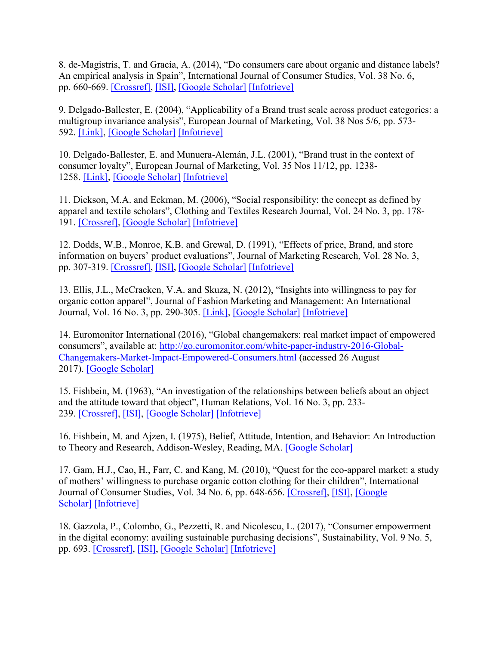8. de-Magistris, T. and Gracia, A. (2014), "Do consumers care about organic and distance labels? An empirical analysis in Spain", International Journal of Consumer Studies, Vol. 38 No. 6, pp. 660-669. [\[Crossref\],](https://www.emeraldinsight.com/servlet/linkout?suffix=ref008&dbid=16&doi=10.1108%2FJCM-04-2017-2176&key=10.1111%2Fijcs.12138) [\[ISI\],](https://www.emeraldinsight.com/servlet/linkout?suffix=ref008&dbid=128&doi=10.1108%2FJCM-04-2017-2176&key=000344323900012) [\[Google Scholar\]](http://scholar.google.com/scholar_lookup?hl=en&publication_year=2014&pages=660-669&issue=6&author=T.+de-Magistris&author=A.+Gracia&title=Do+consumers+care+about+organic+and+distance+labels%3F+An+empirical+analysis+in+Spain) [\[Infotrieve\]](https://www.contentscm.com/vlib/order/OpenURLReceive.aspx?clientid=8710&rft_val_fmt=info:ofi/fmt:kev:mtx:journal&rft.volume=38&rft.issue=6&rft.atitle=Do+consumers+care+about+organic+and+distance+labels%3F+An+empirical+analysis+in+Spain&rft.jtitle=International+Journal+of+Consumer+Studies&rft.date=2014)

9. Delgado-Ballester, E. (2004), "Applicability of a Brand trust scale across product categories: a multigroup invariance analysis", European Journal of Marketing, Vol. 38 Nos 5/6, pp. 573- 592. [\[Link\],](https://www.emeraldinsight.com/doi/10.1108/03090560410529222) [\[Google Scholar\]](http://scholar.google.com/scholar_lookup?hl=en&publication_year=2004&pages=573-592&issue=5%2F6&author=E.+Delgado-Ballester&title=Applicability+of+a+Brand+trust+scale+across+product+categories%3A+a+multigroup+invariance+analysis) [\[Infotrieve\]](https://www.contentscm.com/vlib/order/OpenURLReceive.aspx?clientid=8710&rft_val_fmt=info:ofi/fmt:kev:mtx:journal&rft.volume=38&rft.issue=5%2F6&rft.atitle=Applicability+of+a+Brand+trust+scale+across+product+categories%3A+a+multigroup+invariance+analysis&rft.jtitle=European+Journal+of+Marketing&rft.date=2004)

10. Delgado-Ballester, E. and Munuera-Alemán, J.L. (2001), "Brand trust in the context of consumer loyalty", European Journal of Marketing, Vol. 35 Nos 11/12, pp. 1238- 1258. [\[Link\],](https://www.emeraldinsight.com/doi/10.1108/EUM0000000006475) [\[Google Scholar\]](http://scholar.google.com/scholar_lookup?hl=en&publication_year=2001&pages=1238-1258&issue=11%2F12&author=E.+Delgado-Ballester&author=J.L.+Munuera-Alem%C3%A1n&title=Brand+trust+in+the+context+of+consumer+loyalty) [\[Infotrieve\]](https://www.contentscm.com/vlib/order/OpenURLReceive.aspx?clientid=8710&rft_val_fmt=info:ofi/fmt:kev:mtx:journal&rft.volume=35&rft.issue=11%2F12&rft.atitle=Brand+trust+in+the+context+of+consumer+loyalty&rft.jtitle=European+Journal+of+Marketing&rft.date=2001)

11. Dickson, M.A. and Eckman, M. (2006), "Social responsibility: the concept as defined by apparel and textile scholars", Clothing and Textiles Research Journal, Vol. 24 No. 3, pp. 178- 191. [\[Crossref\],](https://www.emeraldinsight.com/servlet/linkout?suffix=ref011&dbid=16&doi=10.1108%2FJCM-04-2017-2176&key=10.1177%2F0887302X06293031) [\[Google Scholar\]](http://scholar.google.com/scholar_lookup?hl=en&publication_year=2006&pages=178-191&issue=3&author=M.A.+Dickson&author=M.+Eckman&title=Social+responsibility%3A+the+concept+as+defined+by+apparel+and+textile+scholars) [\[Infotrieve\]](https://www.contentscm.com/vlib/order/OpenURLReceive.aspx?clientid=8710&rft_val_fmt=info:ofi/fmt:kev:mtx:journal&rft.volume=24&rft.issue=3&rft.atitle=Social+responsibility%3A+the+concept+as+defined+by+apparel+and+textile+scholars&rft.jtitle=Clothing+and+Textiles+Research+Journal&rft.date=2006)

12. Dodds, W.B., Monroe, K.B. and Grewal, D. (1991), "Effects of price, Brand, and store information on buyers' product evaluations", Journal of Marketing Research, Vol. 28 No. 3, pp. 307-319. [\[Crossref\],](https://www.emeraldinsight.com/servlet/linkout?suffix=ref012&dbid=16&doi=10.1108%2FJCM-04-2017-2176&key=10.2307%2F3172866) [\[ISI\],](https://www.emeraldinsight.com/servlet/linkout?suffix=ref012&dbid=128&doi=10.1108%2FJCM-04-2017-2176&key=A1991FW93700005) [\[Google Scholar\]](http://scholar.google.com/scholar_lookup?hl=en&publication_year=1991&pages=307-319&issue=3&author=W.B.+Dodds&author=K.B.+Monroe&author=D.+Grewal&title=Effects+of+price%2C+Brand%2C+and+store+information+on+buyers%E2%80%99+product+evaluations) [\[Infotrieve\]](https://www.contentscm.com/vlib/order/OpenURLReceive.aspx?clientid=8710&rft_val_fmt=info:ofi/fmt:kev:mtx:journal&rft.volume=28&rft.issue=3&rft.atitle=Effects+of+price%2C+Brand%2C+and+store+information+on+buyers%E2%80%99+product+evaluations&rft.jtitle=Journal+of+Marketing+Research&rft.date=1991)

13. Ellis, J.L., McCracken, V.A. and Skuza, N. (2012), "Insights into willingness to pay for organic cotton apparel", Journal of Fashion Marketing and Management: An International Journal, Vol. 16 No. 3, pp. 290-305. [\[Link\],](https://www.emeraldinsight.com/doi/10.1108/13612021211246053) [\[Google Scholar\]](http://scholar.google.com/scholar_lookup?hl=en&publication_year=2012&pages=290-305&issue=3&author=J.L.+Ellis&author=V.A.+McCracken&author=N.+Skuza&title=Insights+into+willingness+to+pay+for+organic+cotton+apparel) [\[Infotrieve\]](https://www.contentscm.com/vlib/order/OpenURLReceive.aspx?clientid=8710&rft_val_fmt=info:ofi/fmt:kev:mtx:journal&rft.volume=16&rft.issue=3&rft.atitle=Insights+into+willingness+to+pay+for+organic+cotton+apparel&rft.jtitle=Journal+of+Fashion+Marketing+and+Management%3A+An+International+Journal&rft.date=2012)

14. Euromonitor International (2016), "Global changemakers: real market impact of empowered consumers", available at: [http://go.euromonitor.com/white-paper-industry-2016-Global-](http://go.euromonitor.com/white-paper-industry-2016-Global-Changemakers-Market-Impact-Empowered-Consumers.html)[Changemakers-Market-Impact-Empowered-Consumers.html](http://go.euromonitor.com/white-paper-industry-2016-Global-Changemakers-Market-Impact-Empowered-Consumers.html) (accessed 26 August 2017). [\[Google Scholar\]](http://scholar.google.com/scholar_lookup?hl=en&publication_year=2016&author=Euromonitor+International&title=Global+changemakers%3A+real+market+impact+of+empowered+consumers)

15. Fishbein, M. (1963), "An investigation of the relationships between beliefs about an object and the attitude toward that object", Human Relations, Vol. 16 No. 3, pp. 233- 239. [\[Crossref\],](https://www.emeraldinsight.com/servlet/linkout?suffix=ref015&dbid=16&doi=10.1108%2FJCM-04-2017-2176&key=10.1177%2F001872676301600302) [\[ISI\],](https://www.emeraldinsight.com/servlet/linkout?suffix=ref015&dbid=128&doi=10.1108%2FJCM-04-2017-2176&key=A1963CAL9900002) [\[Google Scholar\]](http://scholar.google.com/scholar_lookup?hl=en&publication_year=1963&pages=233-239&issue=3&author=M.+Fishbein&title=An+investigation+of+the+relationships+between+beliefs+about+an+object+and+the+attitude+toward+that+object) [\[Infotrieve\]](https://www.contentscm.com/vlib/order/OpenURLReceive.aspx?clientid=8710&rft_val_fmt=info:ofi/fmt:kev:mtx:journal&rft.volume=16&rft.issue=3&rft.atitle=An+investigation+of+the+relationships+between+beliefs+about+an+object+and+the+attitude+toward+that+object&rft.jtitle=Human+Relations&rft.date=1963)

16. Fishbein, M. and Ajzen, I. (1975), Belief, Attitude, Intention, and Behavior: An Introduction to Theory and Research, Addison-Wesley, Reading, MA. [\[Google Scholar\]](http://scholar.google.com/scholar_lookup?hl=en&publication_year=1975&author=M.+Fishbein&author=I.+Ajzen&title=Belief%2C+Attitude%2C+Intention%2C+and+Behavior%3A+An+Introduction+to+Theory+and+Research)

17. Gam, H.J., Cao, H., Farr, C. and Kang, M. (2010), "Quest for the eco-apparel market: a study of mothers' willingness to purchase organic cotton clothing for their children", International Journal of Consumer Studies, Vol. 34 No. 6, pp. 648-656. [\[Crossref\],](https://www.emeraldinsight.com/servlet/linkout?suffix=ref017&dbid=16&doi=10.1108%2FJCM-04-2017-2176&key=10.1111%2Fj.1470-6431.2010.00898.x) [\[ISI\],](https://www.emeraldinsight.com/servlet/linkout?suffix=ref017&dbid=128&doi=10.1108%2FJCM-04-2017-2176&key=000282872000004) [Google [Scholar\]](http://scholar.google.com/scholar_lookup?hl=en&publication_year=2010&pages=648-656&issue=6&author=H.J.+Gam&author=H.+Cao&author=C.+Farr&author=M.+Kang&title=Quest+for+the+eco-apparel+market%3A+a+study+of+mothers%E2%80%99+willingness+to+purchase+organic+cotton+clothing+for+their+children) [\[Infotrieve\]](https://www.contentscm.com/vlib/order/OpenURLReceive.aspx?clientid=8710&rft_val_fmt=info:ofi/fmt:kev:mtx:journal&rft.volume=34&rft.issue=6&rft.atitle=Quest+for+the+eco-apparel+market%3A+a+study+of+mothers%E2%80%99+willingness+to+purchase+organic+cotton+clothing+for+their+children&rft.jtitle=International+Journal+of+Consumer+Studies&rft.date=2010)

18. Gazzola, P., Colombo, G., Pezzetti, R. and Nicolescu, L. (2017), "Consumer empowerment in the digital economy: availing sustainable purchasing decisions", Sustainability, Vol. 9 No. 5, pp. 693. [\[Crossref\],](https://www.emeraldinsight.com/servlet/linkout?suffix=ref018&dbid=16&doi=10.1108%2FJCM-04-2017-2176&key=10.3390%2Fsu9050693) [\[ISI\],](https://www.emeraldinsight.com/servlet/linkout?suffix=ref018&dbid=128&doi=10.1108%2FJCM-04-2017-2176&key=000404127800018) [\[Google Scholar\]](http://scholar.google.com/scholar_lookup?hl=en&publication_year=2017&pages=693&issue=5&author=P.+Gazzola&author=G.+Colombo&author=R.+Pezzetti&author=L.+Nicolescu&title=Consumer+empowerment+in+the+digital+economy%3A+availing+sustainable+purchasing+decisions) [\[Infotrieve\]](https://www.contentscm.com/vlib/order/OpenURLReceive.aspx?clientid=8710&rft_val_fmt=info:ofi/fmt:kev:mtx:journal&rft.volume=9&rft.issue=5&rft.atitle=Consumer+empowerment+in+the+digital+economy%3A+availing+sustainable+purchasing+decisions&rft.jtitle=Sustainability&rft.date=2017)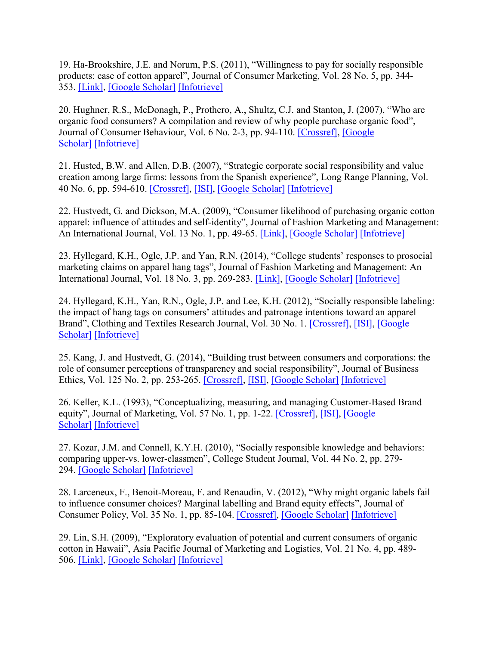19. Ha-Brookshire, J.E. and Norum, P.S. (2011), "Willingness to pay for socially responsible products: case of cotton apparel", Journal of Consumer Marketing, Vol. 28 No. 5, pp. 344- 353. [\[Link\],](https://www.emeraldinsight.com/doi/10.1108/07363761111149992) [\[Google Scholar\]](http://scholar.google.com/scholar_lookup?hl=en&publication_year=2011&pages=344-353&issue=5&author=J.E.+Ha-Brookshire&author=P.S.+Norum&title=Willingness+to+pay+for+socially+responsible+products%3A+case+of+cotton+apparel) [\[Infotrieve\]](https://www.contentscm.com/vlib/order/OpenURLReceive.aspx?clientid=8710&rft_val_fmt=info:ofi/fmt:kev:mtx:journal&rft.volume=28&rft.issue=5&rft.atitle=Willingness+to+pay+for+socially+responsible+products%3A+case+of+cotton+apparel&rft.jtitle=Journal+of+Consumer+Marketing&rft.date=2011)

20. Hughner, R.S., McDonagh, P., Prothero, A., Shultz, C.J. and Stanton, J. (2007), "Who are organic food consumers? A compilation and review of why people purchase organic food", Journal of Consumer Behaviour, Vol. 6 No. 2-3, pp. 94-110. [\[Crossref\],](https://www.emeraldinsight.com/servlet/linkout?suffix=ref020&dbid=16&doi=10.1108%2FJCM-04-2017-2176&key=10.1002%2Fcb.210) [\[Google](http://scholar.google.com/scholar_lookup?hl=en&publication_year=2007&pages=94-110&issue=2-3&author=R.S.+Hughner&author=P.+McDonagh&author=A.+Prothero&author=C.J.+Shultz&author=J.+Stanton&title=Who+are+organic+food+consumers%3F+A+compilation+and+review+of+why+people+purchase+organic+food)  [Scholar\]](http://scholar.google.com/scholar_lookup?hl=en&publication_year=2007&pages=94-110&issue=2-3&author=R.S.+Hughner&author=P.+McDonagh&author=A.+Prothero&author=C.J.+Shultz&author=J.+Stanton&title=Who+are+organic+food+consumers%3F+A+compilation+and+review+of+why+people+purchase+organic+food) [\[Infotrieve\]](https://www.contentscm.com/vlib/order/OpenURLReceive.aspx?clientid=8710&rft_val_fmt=info:ofi/fmt:kev:mtx:journal&rft.volume=6&rft.issue=2-3&rft.atitle=Who+are+organic+food+consumers%3F+A+compilation+and+review+of+why+people+purchase+organic+food&rft.jtitle=Journal+of+Consumer+Behaviour&rft.date=2007)

21. Husted, B.W. and Allen, D.B. (2007), "Strategic corporate social responsibility and value creation among large firms: lessons from the Spanish experience", Long Range Planning, Vol. 40 No. 6, pp. 594-610. [\[Crossref\],](https://www.emeraldinsight.com/servlet/linkout?suffix=ref021&dbid=16&doi=10.1108%2FJCM-04-2017-2176&key=10.1016%2Fj.lrp.2007.07.001) [\[ISI\],](https://www.emeraldinsight.com/servlet/linkout?suffix=ref021&dbid=128&doi=10.1108%2FJCM-04-2017-2176&key=000252113200005) [\[Google Scholar\]](http://scholar.google.com/scholar_lookup?hl=en&publication_year=2007&pages=594-610&issue=6&author=B.W.+Husted&author=D.B.+Allen&title=Strategic+corporate+social+responsibility+and+value+creation+among+large+firms%3A+lessons+from+the+Spanish+experience) [\[Infotrieve\]](https://www.contentscm.com/vlib/order/OpenURLReceive.aspx?clientid=8710&rft_val_fmt=info:ofi/fmt:kev:mtx:journal&rft.volume=40&rft.issue=6&rft.atitle=Strategic+corporate+social+responsibility+and+value+creation+among+large+firms%3A+lessons+from+the+Spanish+experience&rft.jtitle=Long+Range+Planning&rft.date=2007)

22. Hustvedt, G. and Dickson, M.A. (2009), "Consumer likelihood of purchasing organic cotton apparel: influence of attitudes and self-identity", Journal of Fashion Marketing and Management: An International Journal, Vol. 13 No. 1, pp. 49-65. [\[Link\],](https://www.emeraldinsight.com/doi/10.1108/13612020910939879) [\[Google Scholar\]](http://scholar.google.com/scholar_lookup?hl=en&publication_year=2009&pages=49-65&issue=1&author=G.+Hustvedt&author=M.A.+Dickson&title=Consumer+likelihood+of+purchasing+organic+cotton+apparel%3A+influence+of+attitudes+and+self-identity) [\[Infotrieve\]](https://www.contentscm.com/vlib/order/OpenURLReceive.aspx?clientid=8710&rft_val_fmt=info:ofi/fmt:kev:mtx:journal&rft.volume=13&rft.issue=1&rft.atitle=Consumer+likelihood+of+purchasing+organic+cotton+apparel%3A+influence+of+attitudes+and+self-identity&rft.jtitle=Journal+of+Fashion+Marketing+and+Management%3A+An+International+Journal&rft.date=2009)

23. Hyllegard, K.H., Ogle, J.P. and Yan, R.N. (2014), "College students' responses to prosocial marketing claims on apparel hang tags", Journal of Fashion Marketing and Management: An International Journal, Vol. 18 No. 3, pp. 269-283. [\[Link\],](https://www.emeraldinsight.com/doi/10.1108/JFMM-12-2012-0075) [\[Google Scholar\]](http://scholar.google.com/scholar_lookup?hl=en&publication_year=2014&pages=269-283&issue=3&author=K.H.+Hyllegard&author=J.P.+Ogle&author=R.N.+Yan&title=College+students%E2%80%99+responses+to+prosocial+marketing+claims+on+apparel+hang+tags) [\[Infotrieve\]](https://www.contentscm.com/vlib/order/OpenURLReceive.aspx?clientid=8710&rft_val_fmt=info:ofi/fmt:kev:mtx:journal&rft.volume=18&rft.issue=3&rft.atitle=College+students%E2%80%99+responses+to+prosocial+marketing+claims+on+apparel+hang+tags&rft.jtitle=Journal+of+Fashion+Marketing+and+Management%3A+An+International+Journal&rft.date=2014)

24. Hyllegard, K.H., Yan, R.N., Ogle, J.P. and Lee, K.H. (2012), "Socially responsible labeling: the impact of hang tags on consumers' attitudes and patronage intentions toward an apparel Brand", Clothing and Textiles Research Journal, Vol. 30 No. 1. [\[Crossref\],](https://www.emeraldinsight.com/servlet/linkout?suffix=ref024&dbid=16&doi=10.1108%2FJCM-04-2017-2176&key=10.1177%2F0887302X11433500) [\[ISI\],](https://www.emeraldinsight.com/servlet/linkout?suffix=ref024&dbid=128&doi=10.1108%2FJCM-04-2017-2176&key=000304698600005) [\[Google](http://scholar.google.com/scholar_lookup?hl=en&publication_year=2012&issue=1&author=K.H.+Hyllegard&author=R.N.+Yan&author=J.P.+Ogle&author=K.H.+Lee&title=Socially+responsible+labeling%3A+the+impact+of+hang+tags+on+consumers%E2%80%99+attitudes+and+patronage+intentions+toward+an+apparel+Brand)  [Scholar\]](http://scholar.google.com/scholar_lookup?hl=en&publication_year=2012&issue=1&author=K.H.+Hyllegard&author=R.N.+Yan&author=J.P.+Ogle&author=K.H.+Lee&title=Socially+responsible+labeling%3A+the+impact+of+hang+tags+on+consumers%E2%80%99+attitudes+and+patronage+intentions+toward+an+apparel+Brand) [\[Infotrieve\]](https://www.contentscm.com/vlib/order/OpenURLReceive.aspx?clientid=8710&rft_val_fmt=info:ofi/fmt:kev:mtx:journal&rft.volume=30&rft.issue=1&rft.atitle=Socially+responsible+labeling%3A+the+impact+of+hang+tags+on+consumers%E2%80%99+attitudes+and+patronage+intentions+toward+an+apparel+Brand&rft.jtitle=Clothing+and+Textiles+Research+Journal&rft.date=2012)

25. Kang, J. and Hustvedt, G. (2014), "Building trust between consumers and corporations: the role of consumer perceptions of transparency and social responsibility", Journal of Business Ethics, Vol. 125 No. 2, pp. 253-265. [\[Crossref\],](https://www.emeraldinsight.com/servlet/linkout?suffix=ref025&dbid=16&doi=10.1108%2FJCM-04-2017-2176&key=10.1007%2Fs10551-013-1916-7) [\[ISI\],](https://www.emeraldinsight.com/servlet/linkout?suffix=ref025&dbid=128&doi=10.1108%2FJCM-04-2017-2176&key=000344093800005) [\[Google Scholar\]](http://scholar.google.com/scholar_lookup?hl=en&publication_year=2014&pages=253-265&issue=2&author=J.+Kang&author=G.+Hustvedt&title=Building+trust+between+consumers+and+corporations%3A+the+role+of+consumer+perceptions+of+transparency+and+social+responsibility) [\[Infotrieve\]](https://www.contentscm.com/vlib/order/OpenURLReceive.aspx?clientid=8710&rft_val_fmt=info:ofi/fmt:kev:mtx:journal&rft.volume=125&rft.issue=2&rft.atitle=Building+trust+between+consumers+and+corporations%3A+the+role+of+consumer+perceptions+of+transparency+and+social+responsibility&rft.jtitle=Journal+of+Business+Ethics&rft.date=2014)

26. Keller, K.L. (1993), "Conceptualizing, measuring, and managing Customer-Based Brand equity", Journal of Marketing, Vol. 57 No. 1, pp. 1-22. [\[Crossref\],](https://www.emeraldinsight.com/servlet/linkout?suffix=ref026&dbid=16&doi=10.1108%2FJCM-04-2017-2176&key=10.1177%2F002224299305700101) [\[ISI\],](https://www.emeraldinsight.com/servlet/linkout?suffix=ref026&dbid=128&doi=10.1108%2FJCM-04-2017-2176&key=A1993KH92100001) [\[Google](http://scholar.google.com/scholar_lookup?hl=en&publication_year=1993&pages=1-22&issue=1&author=K.L.+Keller&title=Conceptualizing%2C+measuring%2C+and+managing+Customer-Based+Brand+equity)  [Scholar\]](http://scholar.google.com/scholar_lookup?hl=en&publication_year=1993&pages=1-22&issue=1&author=K.L.+Keller&title=Conceptualizing%2C+measuring%2C+and+managing+Customer-Based+Brand+equity) [\[Infotrieve\]](https://www.contentscm.com/vlib/order/OpenURLReceive.aspx?clientid=8710&rft_val_fmt=info:ofi/fmt:kev:mtx:journal&rft.volume=57&rft.issue=1&rft.atitle=Conceptualizing%2C+measuring%2C+and+managing+Customer-Based+Brand+equity&rft.jtitle=Journal+of+Marketing&rft.date=1993)

27. Kozar, J.M. and Connell, K.Y.H. (2010), "Socially responsible knowledge and behaviors: comparing upper-vs. lower-classmen", College Student Journal, Vol. 44 No. 2, pp. 279- 294. [\[Google Scholar\]](http://scholar.google.com/scholar_lookup?hl=en&publication_year=2010&pages=279-294&issue=2&author=J.M.+Kozar&author=K.Y.H.+Connell&title=Socially+responsible+knowledge+and+behaviors%3A+comparing+upper-vs.+lower-classmen) [\[Infotrieve\]](https://www.contentscm.com/vlib/order/OpenURLReceive.aspx?clientid=8710&rft_val_fmt=info:ofi/fmt:kev:mtx:journal&rft.volume=44&rft.issue=2&rft.atitle=Socially+responsible+knowledge+and+behaviors%3A+comparing+upper-vs.+lower-classmen&rft.jtitle=College+Student+Journal&rft.date=2010)

28. Larceneux, F., Benoit-Moreau, F. and Renaudin, V. (2012), "Why might organic labels fail to influence consumer choices? Marginal labelling and Brand equity effects", Journal of Consumer Policy, Vol. 35 No. 1, pp. 85-104. [\[Crossref\],](https://www.emeraldinsight.com/servlet/linkout?suffix=ref028&dbid=16&doi=10.1108%2FJCM-04-2017-2176&key=10.1007%2Fs10603-011-9186-1) [\[Google Scholar\]](http://scholar.google.com/scholar_lookup?hl=en&publication_year=2012&pages=85-104&issue=1&author=F.+Larceneux&author=F.+Benoit-Moreau&author=V.+Renaudin&title=Why+might+organic+labels+fail+to+influence+consumer+choices%3F+Marginal+labelling+and+Brand+equity+effects) [\[Infotrieve\]](https://www.contentscm.com/vlib/order/OpenURLReceive.aspx?clientid=8710&rft_val_fmt=info:ofi/fmt:kev:mtx:journal&rft.volume=35&rft.issue=1&rft.atitle=Why+might+organic+labels+fail+to+influence+consumer+choices%3F+Marginal+labelling+and+Brand+equity+effects&rft.jtitle=Journal+of+Consumer+Policy&rft.date=2012)

29. Lin, S.H. (2009), "Exploratory evaluation of potential and current consumers of organic cotton in Hawaii", Asia Pacific Journal of Marketing and Logistics, Vol. 21 No. 4, pp. 489- 506. [\[Link\],](https://www.emeraldinsight.com/doi/10.1108/13555850910997553) [\[Google Scholar\]](http://scholar.google.com/scholar_lookup?hl=en&publication_year=2009&pages=489-506&issue=4&author=S.H.+Lin&title=Exploratory+evaluation+of+potential+and+current+consumers+of+organic+cotton+in+Hawaii) [\[Infotrieve\]](https://www.contentscm.com/vlib/order/OpenURLReceive.aspx?clientid=8710&rft_val_fmt=info:ofi/fmt:kev:mtx:journal&rft.volume=21&rft.issue=4&rft.atitle=Exploratory+evaluation+of+potential+and+current+consumers+of+organic+cotton+in+Hawaii&rft.jtitle=Asia+Pacific+Journal+of+Marketing+and+Logistics&rft.date=2009)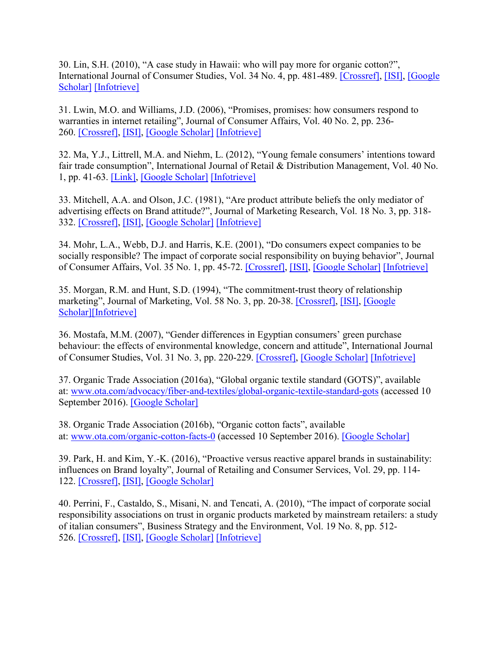30. Lin, S.H. (2010), "A case study in Hawaii: who will pay more for organic cotton?", International Journal of Consumer Studies, Vol. 34 No. 4, pp. 481-489. [\[Crossref\],](https://www.emeraldinsight.com/servlet/linkout?suffix=ref030&dbid=16&doi=10.1108%2FJCM-04-2017-2176&key=10.1111%2Fj.1470-6431.2010.00899.x) [\[ISI\],](https://www.emeraldinsight.com/servlet/linkout?suffix=ref030&dbid=128&doi=10.1108%2FJCM-04-2017-2176&key=000280337700017) [\[Google](http://scholar.google.com/scholar_lookup?hl=en&publication_year=2010&pages=481-489&issue=4&author=S.H.+Lin&title=A+case+study+in+Hawaii%3A+who+will+pay+more+for+organic+cotton%3F)  [Scholar\]](http://scholar.google.com/scholar_lookup?hl=en&publication_year=2010&pages=481-489&issue=4&author=S.H.+Lin&title=A+case+study+in+Hawaii%3A+who+will+pay+more+for+organic+cotton%3F) [\[Infotrieve\]](https://www.contentscm.com/vlib/order/OpenURLReceive.aspx?clientid=8710&rft_val_fmt=info:ofi/fmt:kev:mtx:journal&rft.volume=34&rft.issue=4&rft.atitle=A+case+study+in+Hawaii%3A+who+will+pay+more+for+organic+cotton%3F&rft.jtitle=International+Journal+of+Consumer+Studies&rft.date=2010)

31. Lwin, M.O. and Williams, J.D. (2006), "Promises, promises: how consumers respond to warranties in internet retailing", Journal of Consumer Affairs, Vol. 40 No. 2, pp. 236- 260. [\[Crossref\],](https://www.emeraldinsight.com/servlet/linkout?suffix=ref031&dbid=16&doi=10.1108%2FJCM-04-2017-2176&key=10.1111%2Fj.1745-6606.2006.00057.x) [\[ISI\],](https://www.emeraldinsight.com/servlet/linkout?suffix=ref031&dbid=128&doi=10.1108%2FJCM-04-2017-2176&key=000240521700004) [\[Google Scholar\]](http://scholar.google.com/scholar_lookup?hl=en&publication_year=2006&pages=236-260&issue=2&author=M.O.+Lwin&author=J.D.+Williams&title=Promises%2C+promises%3A+how+consumers+respond+to+warranties+in+internet+retailing) [\[Infotrieve\]](https://www.contentscm.com/vlib/order/OpenURLReceive.aspx?clientid=8710&rft_val_fmt=info:ofi/fmt:kev:mtx:journal&rft.volume=40&rft.issue=2&rft.atitle=Promises%2C+promises%3A+how+consumers+respond+to+warranties+in+internet+retailing&rft.jtitle=Journal+of+Consumer+Affairs&rft.date=2006)

32. Ma, Y.J., Littrell, M.A. and Niehm, L. (2012), "Young female consumers' intentions toward fair trade consumption", International Journal of Retail & Distribution Management, Vol. 40 No. 1, pp. 41-63. [\[Link\],](https://www.emeraldinsight.com/doi/10.1108/09590551211193595) [\[Google Scholar\]](http://scholar.google.com/scholar_lookup?hl=en&publication_year=2012&pages=41-63&issue=1&author=Y.J.+Ma&author=M.A.+Littrell&author=L.+Niehm&title=Young+female+consumers%E2%80%99+intentions+toward+fair+trade+consumption) [\[Infotrieve\]](https://www.contentscm.com/vlib/order/OpenURLReceive.aspx?clientid=8710&rft_val_fmt=info:ofi/fmt:kev:mtx:journal&rft.volume=40&rft.issue=1&rft.atitle=Young+female+consumers%E2%80%99+intentions+toward+fair+trade+consumption&rft.jtitle=International+Journal+of+Retail+%26+Distribution+Management&rft.date=2012)

33. Mitchell, A.A. and Olson, J.C. (1981), "Are product attribute beliefs the only mediator of advertising effects on Brand attitude?", Journal of Marketing Research, Vol. 18 No. 3, pp. 318- 332. [\[Crossref\],](https://www.emeraldinsight.com/servlet/linkout?suffix=ref033&dbid=16&doi=10.1108%2FJCM-04-2017-2176&key=10.1177%2F002224378101800306) [\[ISI\],](https://www.emeraldinsight.com/servlet/linkout?suffix=ref033&dbid=128&doi=10.1108%2FJCM-04-2017-2176&key=A1981MF19500006) [\[Google Scholar\]](http://scholar.google.com/scholar_lookup?hl=en&publication_year=1981&pages=318-332&issue=3&author=A.A.+Mitchell&author=J.C.+Olson&title=Are+product+attribute+beliefs+the+only+mediator+of+advertising+effects+on+Brand+attitude%3F) [\[Infotrieve\]](https://www.contentscm.com/vlib/order/OpenURLReceive.aspx?clientid=8710&rft_val_fmt=info:ofi/fmt:kev:mtx:journal&rft.volume=18&rft.issue=3&rft.atitle=Are+product+attribute+beliefs+the+only+mediator+of+advertising+effects+on+Brand+attitude%3F&rft.jtitle=Journal+of+Marketing+Research&rft.date=1981)

34. Mohr, L.A., Webb, D.J. and Harris, K.E. (2001), "Do consumers expect companies to be socially responsible? The impact of corporate social responsibility on buying behavior", Journal of Consumer Affairs, Vol. 35 No. 1, pp. 45-72. [\[Crossref\],](https://www.emeraldinsight.com/servlet/linkout?suffix=ref034&dbid=16&doi=10.1108%2FJCM-04-2017-2176&key=10.1111%2Fj.1745-6606.2001.tb00102.x) [\[ISI\],](https://www.emeraldinsight.com/servlet/linkout?suffix=ref034&dbid=128&doi=10.1108%2FJCM-04-2017-2176&key=000173229200003) [\[Google Scholar\]](http://scholar.google.com/scholar_lookup?hl=en&publication_year=2001&pages=45-72&issue=1&author=L.A.+Mohr&author=D.J.+Webb&author=K.E.+Harris&title=Do+consumers+expect+companies+to+be+socially+responsible%3F+The+impact+of+corporate+social+responsibility+on+buying+behavior) [\[Infotrieve\]](https://www.contentscm.com/vlib/order/OpenURLReceive.aspx?clientid=8710&rft_val_fmt=info:ofi/fmt:kev:mtx:journal&rft.volume=35&rft.issue=1&rft.atitle=Do+consumers+expect+companies+to+be+socially+responsible%3F+The+impact+of+corporate+social+responsibility+on+buying+behavior&rft.jtitle=Journal+of+Consumer+Affairs&rft.date=2001)

35. Morgan, R.M. and Hunt, S.D. (1994), "The commitment-trust theory of relationship marketing", Journal of Marketing, Vol. 58 No. 3, pp. 20-38. [\[Crossref\],](https://www.emeraldinsight.com/servlet/linkout?suffix=ref035&dbid=16&doi=10.1108%2FJCM-04-2017-2176&key=10.1177%2F002224299405800302) [\[ISI\],](https://www.emeraldinsight.com/servlet/linkout?suffix=ref035&dbid=128&doi=10.1108%2FJCM-04-2017-2176&key=A1994NW35300002) [\[Google](http://scholar.google.com/scholar_lookup?hl=en&publication_year=1994&pages=20-38&issue=3&author=R.M.+Morgan&author=S.D.+Hunt&title=The+commitment-trust+theory+of+relationship+marketing)  [Scholar\]](http://scholar.google.com/scholar_lookup?hl=en&publication_year=1994&pages=20-38&issue=3&author=R.M.+Morgan&author=S.D.+Hunt&title=The+commitment-trust+theory+of+relationship+marketing)[\[Infotrieve\]](https://www.contentscm.com/vlib/order/OpenURLReceive.aspx?clientid=8710&rft_val_fmt=info:ofi/fmt:kev:mtx:journal&rft.volume=58&rft.issue=3&rft.atitle=The+commitment-trust+theory+of+relationship+marketing&rft.jtitle=Journal+of+Marketing&rft.date=1994)

36. Mostafa, M.M. (2007), "Gender differences in Egyptian consumers' green purchase behaviour: the effects of environmental knowledge, concern and attitude", International Journal of Consumer Studies, Vol. 31 No. 3, pp. 220-229. [\[Crossref\],](https://www.emeraldinsight.com/servlet/linkout?suffix=ref036&dbid=16&doi=10.1108%2FJCM-04-2017-2176&key=10.1111%2Fj.1470-6431.2006.00523.x) [\[Google Scholar\]](http://scholar.google.com/scholar_lookup?hl=en&publication_year=2007&pages=220-229&issue=3&author=M.M.+Mostafa&title=Gender+differences+in+Egyptian+consumers%E2%80%99+green+purchase+behaviour%3A+the+effects+of+environmental+knowledge%2C+concern+and+attitude) [\[Infotrieve\]](https://www.contentscm.com/vlib/order/OpenURLReceive.aspx?clientid=8710&rft_val_fmt=info:ofi/fmt:kev:mtx:journal&rft.volume=31&rft.issue=3&rft.atitle=Gender+differences+in+Egyptian+consumers%E2%80%99+green+purchase+behaviour%3A+the+effects+of+environmental+knowledge%2C+concern+and+attitude&rft.jtitle=International+Journal+of+Consumer+Studies&rft.date=2007)

37. Organic Trade Association (2016a), "Global organic textile standard (GOTS)", available at: [www.ota.com/advocacy/fiber-and-textiles/global-organic-textile-standard-gots](http://www.ota.com/advocacy/fiber-and-textiles/global-organic-textile-standard-gots) (accessed 10 September 2016). [\[Google Scholar\]](http://scholar.google.com/scholar_lookup?hl=en&publication_year=2016a&author=Organic+Trade+Association&title=Global+organic+textile+standard+%28GOTS%29)

38. Organic Trade Association (2016b), "Organic cotton facts", available at: [www.ota.com/organic-cotton-facts-0](http://www.ota.com/organic-cotton-facts-0) (accessed 10 September 2016). [\[Google Scholar\]](http://scholar.google.com/scholar_lookup?hl=en&publication_year=2016b&author=Organic+Trade+Association&title=Organic+cotton+facts)

39. Park, H. and Kim, Y.-K. (2016), "Proactive versus reactive apparel brands in sustainability: influences on Brand loyalty", Journal of Retailing and Consumer Services, Vol. 29, pp. 114- 122. [\[Crossref\],](https://www.emeraldinsight.com/servlet/linkout?suffix=ref039&dbid=16&doi=10.1108%2FJCM-04-2017-2176&key=10.1016%2Fj.jretconser.2015.11.013) [\[ISI\],](https://www.emeraldinsight.com/servlet/linkout?suffix=ref039&dbid=128&doi=10.1108%2FJCM-04-2017-2176&key=000370754600012) [\[Google Scholar\]](http://scholar.google.com/scholar_lookup?hl=en&publication_year=2016&pages=114-122&author=H.+Park&author=Y.-K.+Kim&title=Proactive+versus+reactive+apparel+brands+in+sustainability%3A+influences+on+Brand+loyalty)

40. Perrini, F., Castaldo, S., Misani, N. and Tencati, A. (2010), "The impact of corporate social responsibility associations on trust in organic products marketed by mainstream retailers: a study of italian consumers", Business Strategy and the Environment, Vol. 19 No. 8, pp. 512- 526. [\[Crossref\],](https://www.emeraldinsight.com/servlet/linkout?suffix=ref040&dbid=16&doi=10.1108%2FJCM-04-2017-2176&key=10.1002%2Fbse.660) [\[ISI\],](https://www.emeraldinsight.com/servlet/linkout?suffix=ref040&dbid=128&doi=10.1108%2FJCM-04-2017-2176&key=000289734000003) [\[Google Scholar\]](http://scholar.google.com/scholar_lookup?hl=en&publication_year=2010&pages=512-526&issue=8&author=F.+Perrini&author=S.+Castaldo&author=N.+Misani&author=A.+Tencati&title=The+impact+of+corporate+social+responsibility+associations+on+trust+in+organic+products+marketed+by+mainstream+retailers%3A+a+study+of+italian+consumers) [\[Infotrieve\]](https://www.contentscm.com/vlib/order/OpenURLReceive.aspx?clientid=8710&rft_val_fmt=info:ofi/fmt:kev:mtx:journal&rft.volume=19&rft.issue=8&rft.atitle=The+impact+of+corporate+social+responsibility+associations+on+trust+in+organic+products+marketed+by+mainstream+retailers%3A+a+study+of+italian+consumers&rft.jtitle=Business+Strategy+and+the+Environment&rft.date=2010)